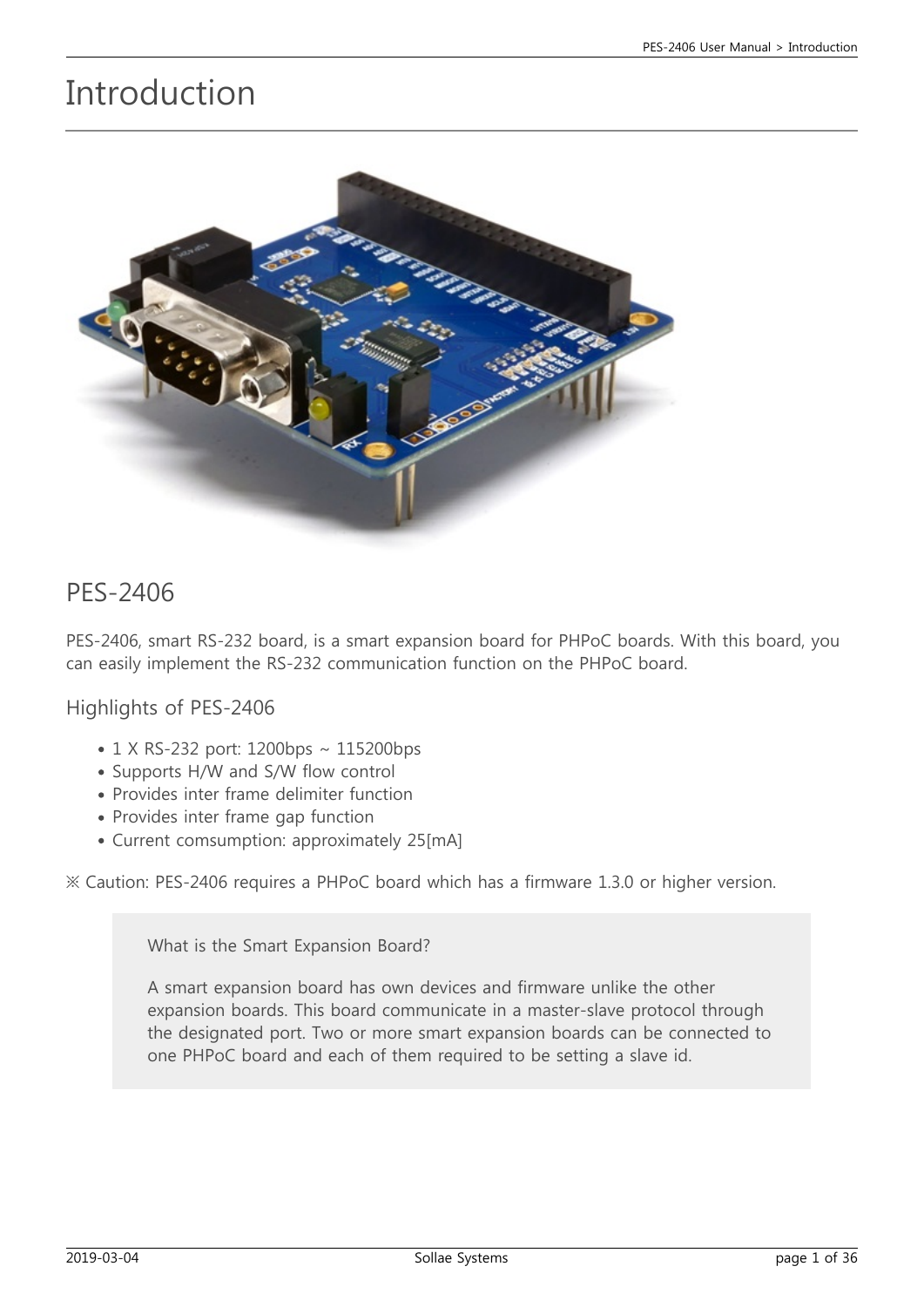# Introduction



#### PES-2406

PES-2406, smart RS-232 board, is a smart expansion board for PHPoC boards. With this board, you can easily implement the RS-232 communication function on the PHPoC board.

Highlights of PES-2406

- 1 X RS-232 port: 1200bps ~ 115200bps
- Supports H/W and S/W flow control
- Provides inter frame delimiter function
- Provides inter frame gap function
- Current comsumption: approximately 25[mA]

※ Caution: PES-2406 requires a PHPoC board which has a firmware 1.3.0 or higher version.

What is the Smart Expansion Board?

A smart expansion board has own devices and firmware unlike the other expansion boards. This board communicate in a master-slave protocol through the designated port. Two or more smart expansion boards can be connected to one PHPoC board and each of them required to be setting a slave id.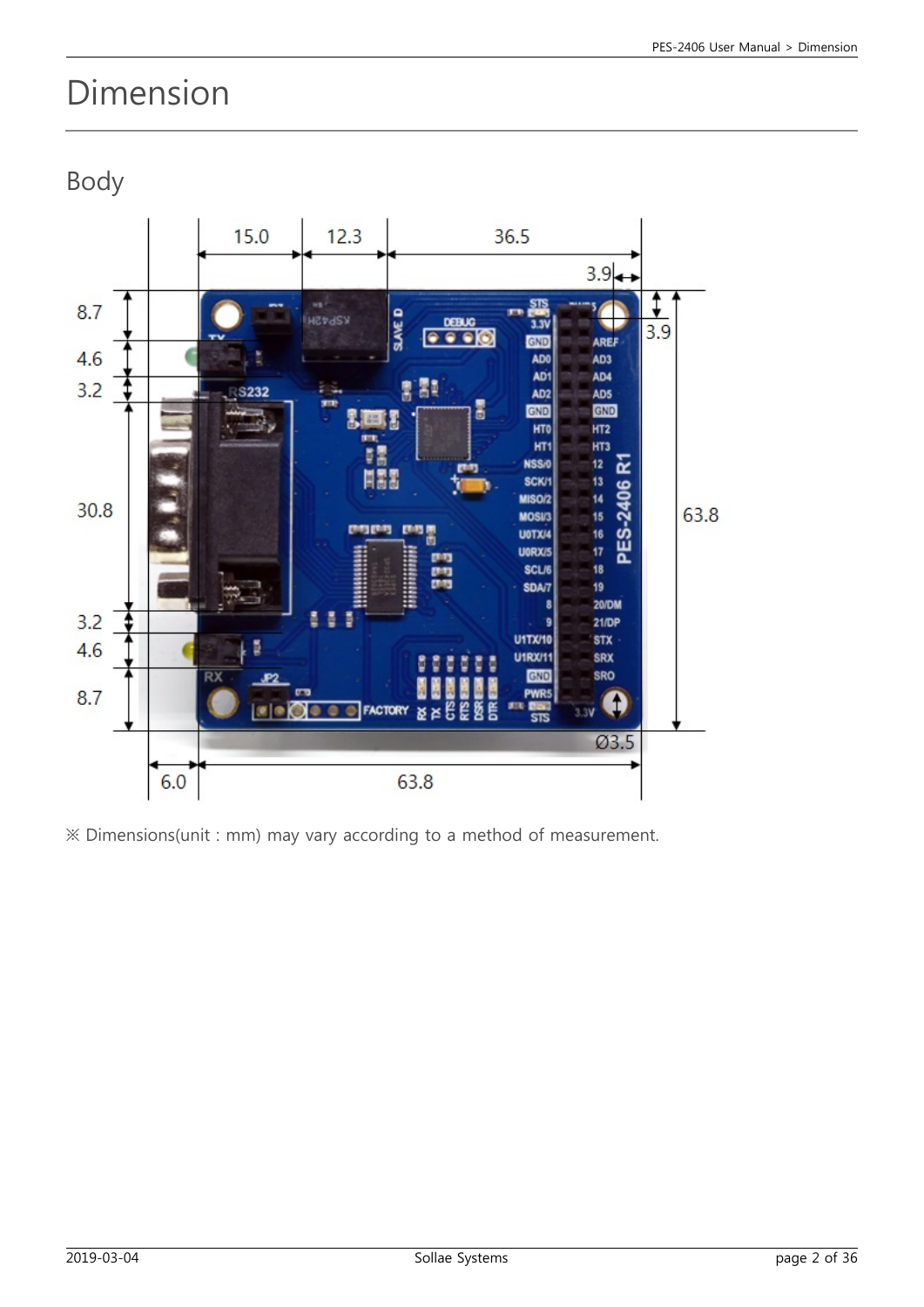# Dimension

Body



※ Dimensions(unit : mm) may vary according to a method of measurement.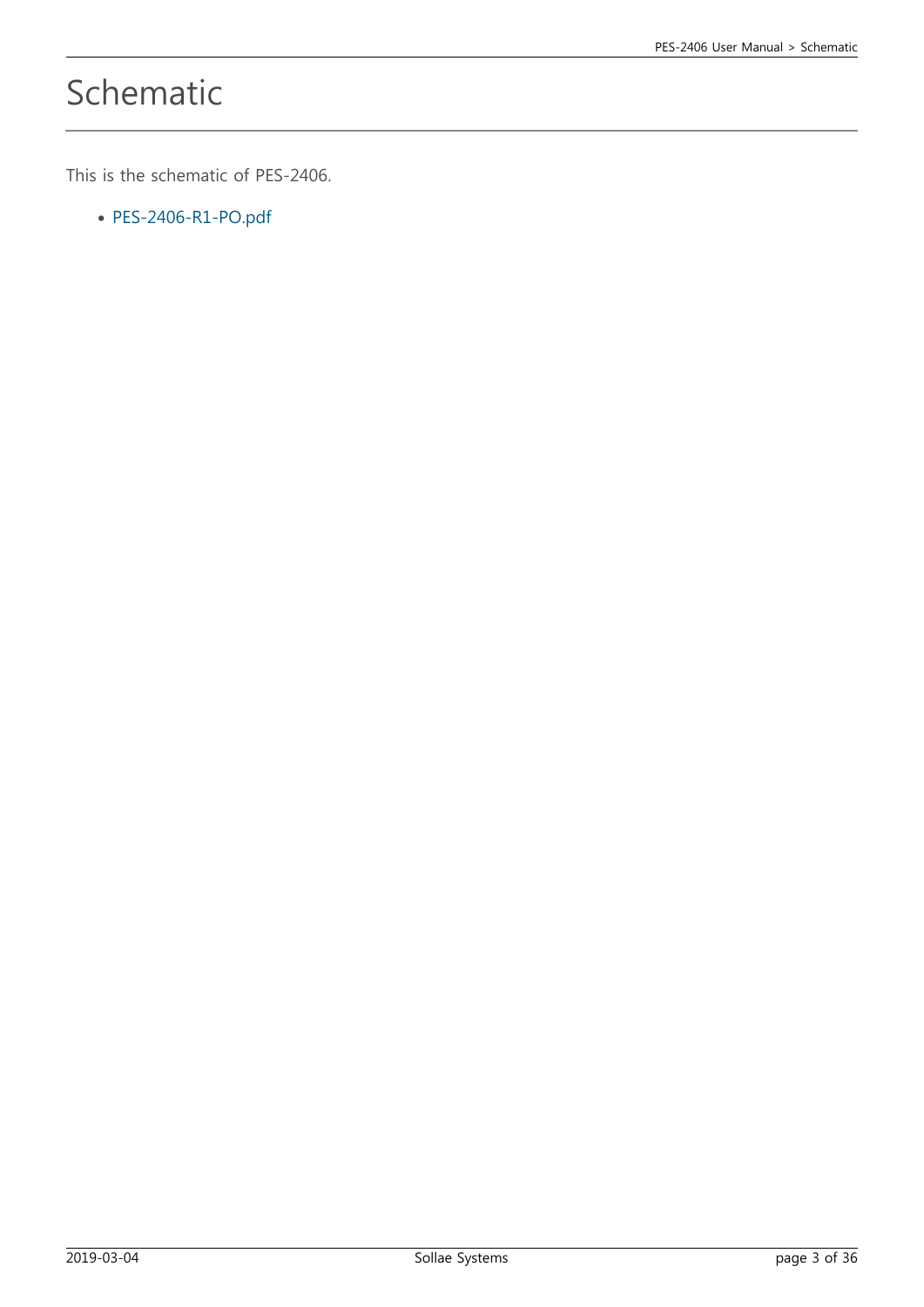# Schematic

This is the schematic of PES-2406.

[PES-2406-R1-PO.pdf](https://ns3.phpoc.com/support/manual/pes-2406_user_manual/img/PES-2406-R1-PO.pdf)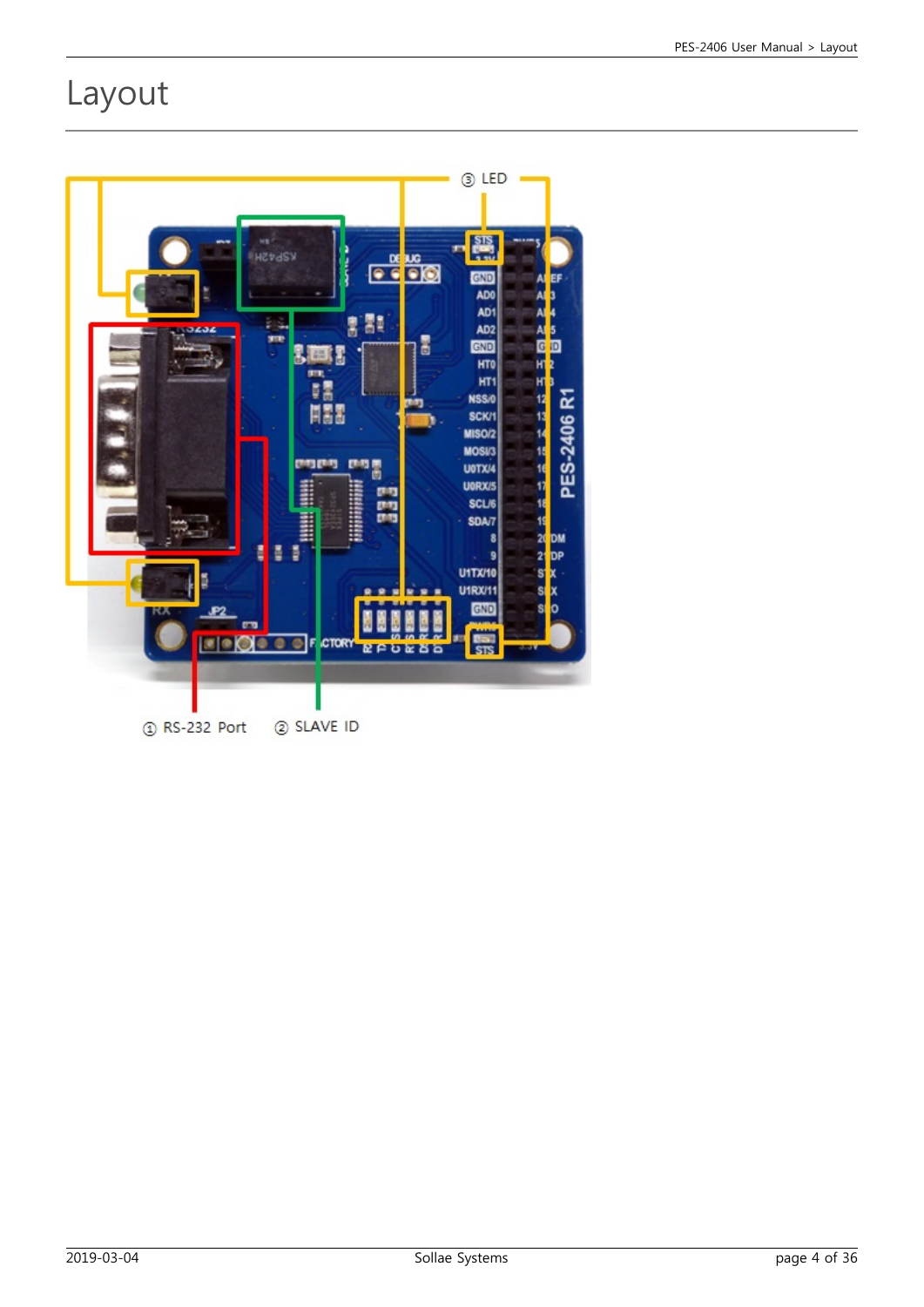## Layout

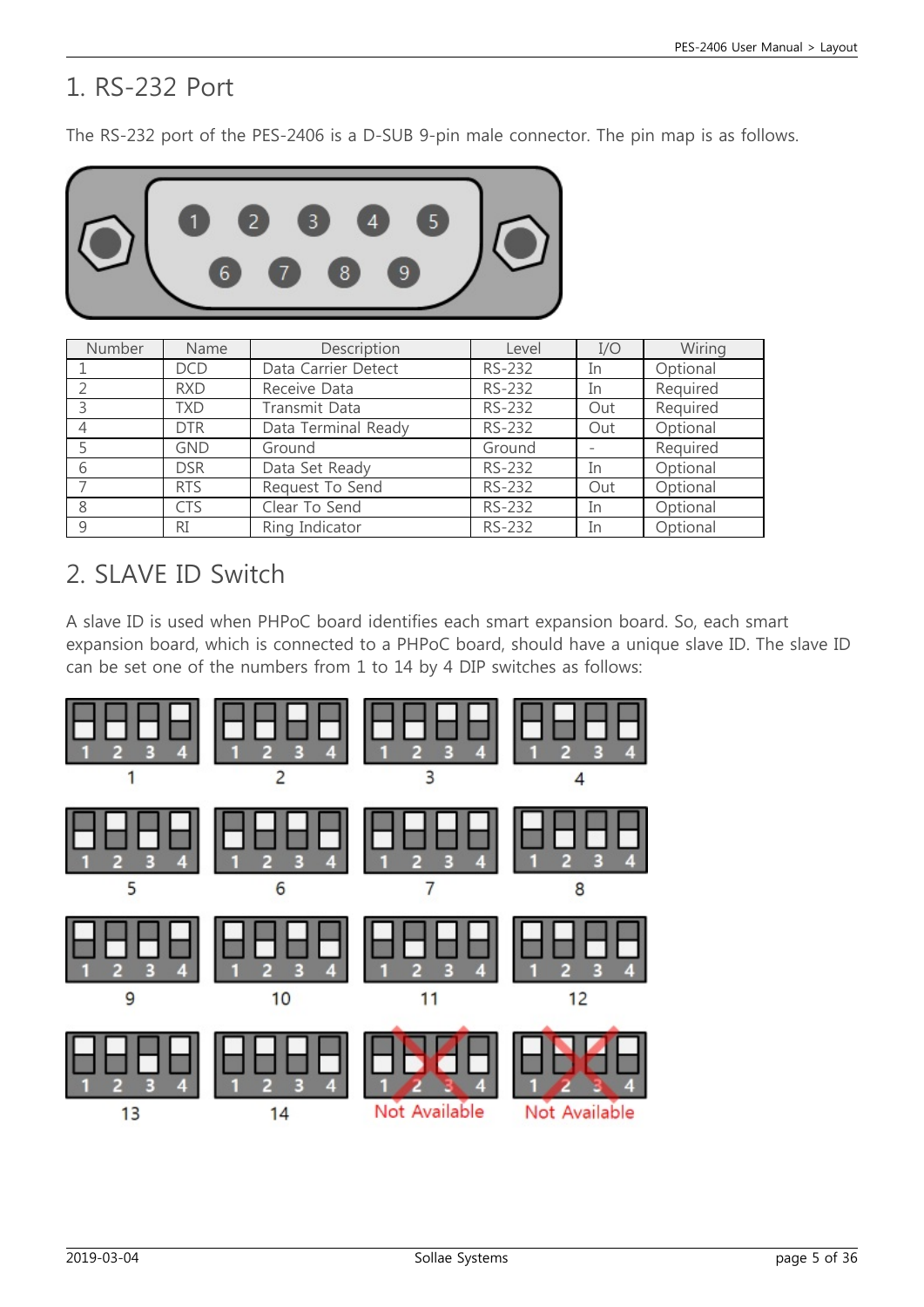### 1. RS-232 Port

The RS-232 port of the PES-2406 is a D-SUB 9-pin male connector. The pin map is as follows.



| Number | Name       | Description         | Level  | I/O | Wiring   |
|--------|------------|---------------------|--------|-----|----------|
|        | <b>DCD</b> | Data Carrier Detect | RS-232 | In  | Optional |
|        | <b>RXD</b> | Receive Data        | RS-232 | In  | Required |
|        | TXD        | Transmit Data       | RS-232 | Out | Required |
|        | <b>DTR</b> | Data Terminal Ready | RS-232 | Out | Optional |
|        | <b>GND</b> | Ground              | Ground |     | Required |
|        | <b>DSR</b> | Data Set Ready      | RS-232 | In  | Optional |
|        | <b>RTS</b> | Request To Send     | RS-232 | Out | Optional |
|        | <b>CTS</b> | Clear To Send       | RS-232 | In  | Optional |
|        | <b>RI</b>  | Ring Indicator      | RS-232 | In  | Optional |

### 2. SLAVE ID Switch

A slave ID is used when PHPoC board identifies each smart expansion board. So, each smart expansion board, which is connected to a PHPoC board, should have a unique slave ID. The slave ID can be set one of the numbers from 1 to 14 by 4 DIP switches as follows:

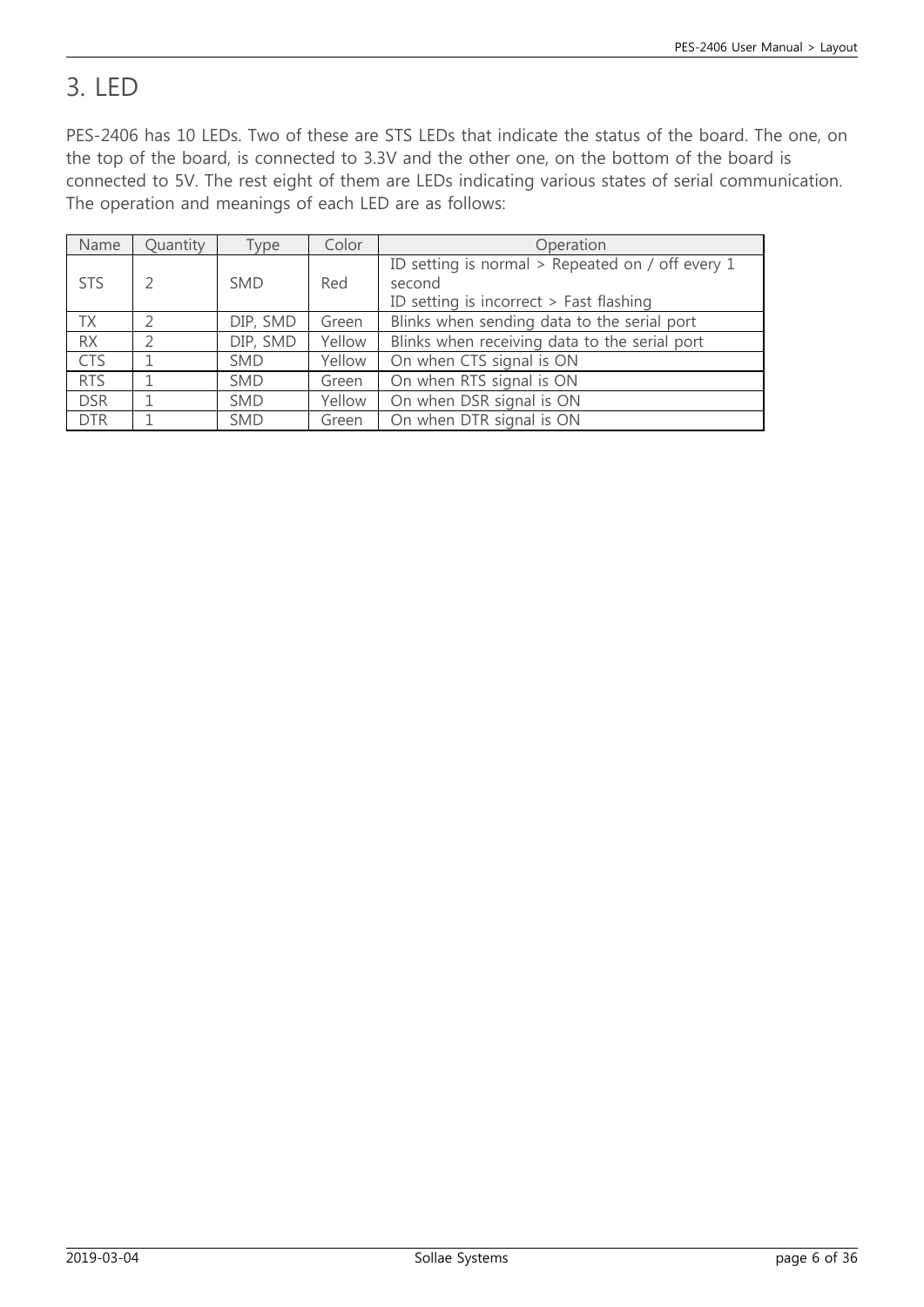### 3. LED

PES-2406 has 10 LEDs. Two of these are STS LEDs that indicate the status of the board. The one, on the top of the board, is connected to 3.3V and the other one, on the bottom of the board is connected to 5V. The rest eight of them are LEDs indicating various states of serial communication. The operation and meanings of each LED are as follows:

| Name       | Quantity | Type       | Color  | Operation                                                  |
|------------|----------|------------|--------|------------------------------------------------------------|
| <b>STS</b> |          | <b>SMD</b> | Red    | ID setting is normal > Repeated on / off every 1<br>second |
|            |          |            |        | ID setting is incorrect $>$ Fast flashing                  |
| <b>TX</b>  |          | DIP, SMD   | Green  | Blinks when sending data to the serial port                |
| <b>RX</b>  |          | DIP, SMD   | Yellow | Blinks when receiving data to the serial port              |
| <b>CTS</b> |          | <b>SMD</b> | Yellow | On when CTS signal is ON                                   |
| <b>RTS</b> |          | <b>SMD</b> | Green  | On when RTS signal is ON                                   |
| <b>DSR</b> |          | <b>SMD</b> | Yellow | On when DSR signal is ON                                   |
| <b>DTR</b> |          | <b>SMD</b> | Green  | On when DTR signal is ON                                   |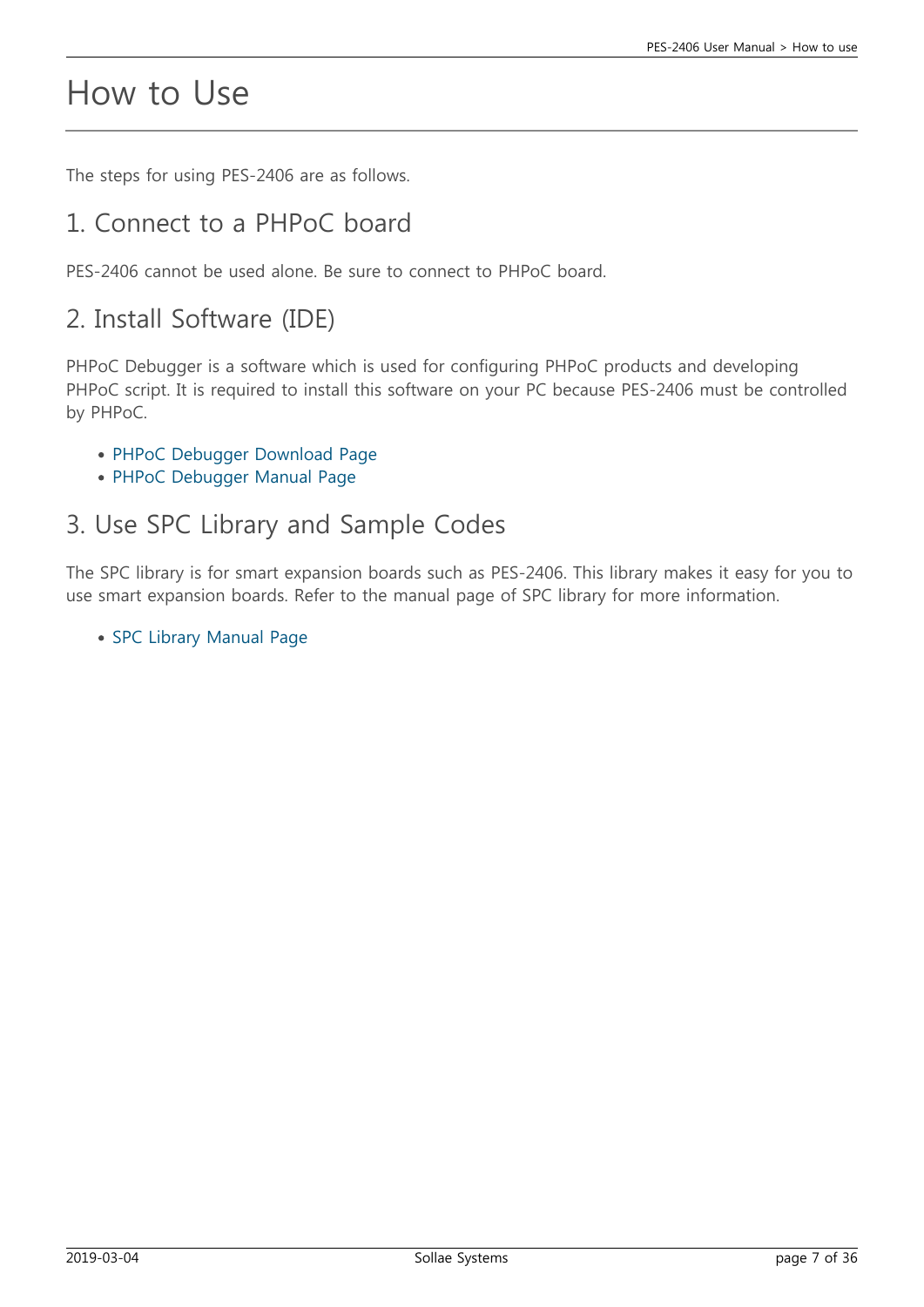## How to Use

The steps for using PES-2406 are as follows.

#### 1. Connect to a PHPoC board

PES-2406 cannot be used alone. Be sure to connect to PHPoC board.

### 2. Install Software (IDE)

PHPoC Debugger is a software which is used for configuring PHPoC products and developing PHPoC script. It is required to install this software on your PC because PES-2406 must be controlled by PHPoC.

- [PHPoC Debugger Download Page](https://ns3.phpoc.com/download.php#download_tools)
- [PHPoC Debugger Manual Page](https://ns3.phpoc.com/support/manual/phpoc_debugger_manual)

#### 3. Use SPC Library and Sample Codes

The SPC library is for smart expansion boards such as PES-2406. This library makes it easy for you to use smart expansion boards. Refer to the manual page of SPC library for more information.

• [SPC Library Manual Page](https://ns3.phpoc.com/support/manual/psp_library_reference/contents.php?id=l_sd_spc)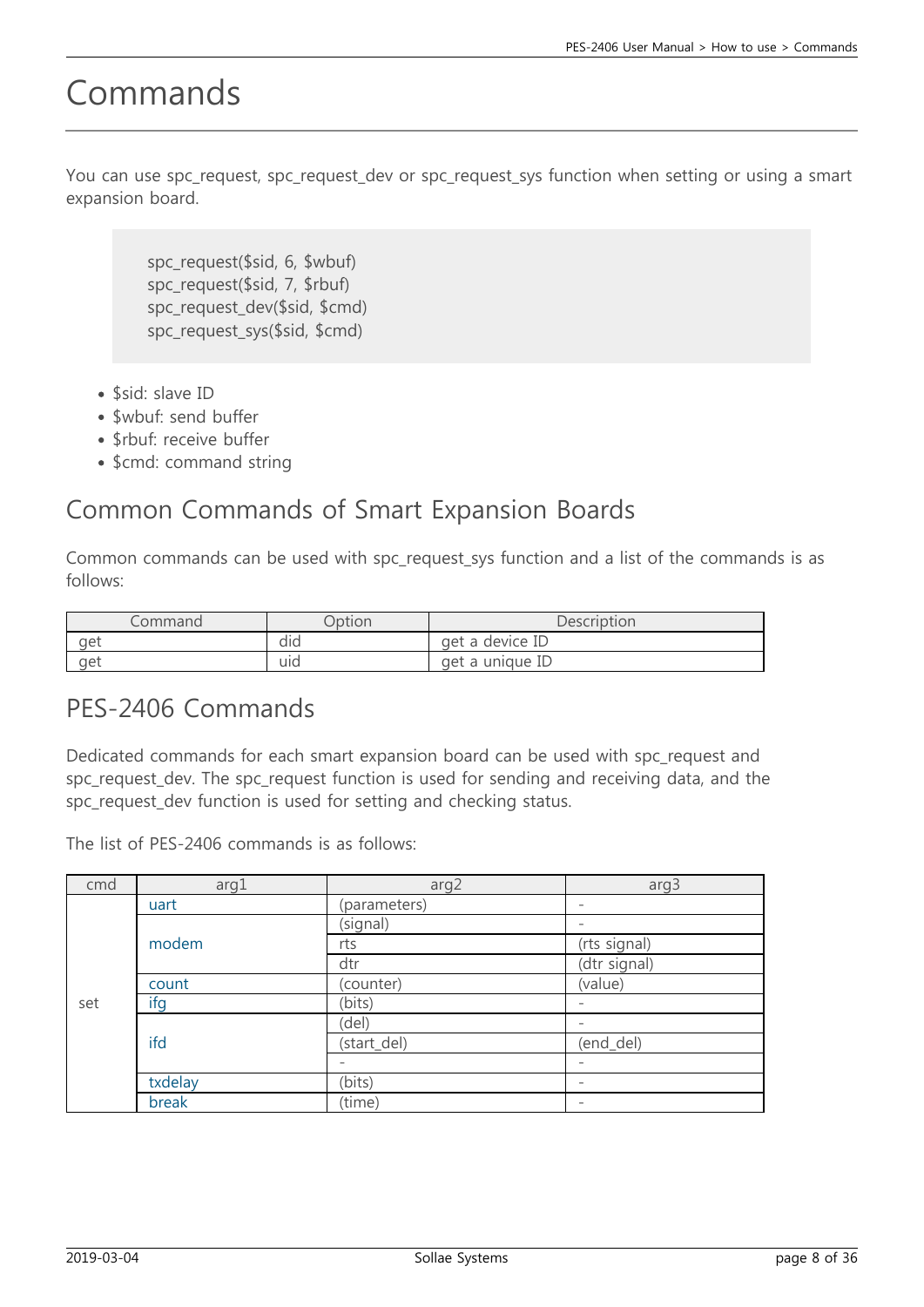## Commands

You can use spc\_request, spc\_request\_dev or spc\_request\_sys function when setting or using a smart expansion board.

> spc\_request(\$sid, 6, \$wbuf) spc\_request(\$sid, 7, \$rbuf) spc\_request\_dev(\$sid, \$cmd) spc\_request\_sys(\$sid, \$cmd)

- \$sid: slave ID
- \$wbuf: send buffer
- \$rbuf: receive buffer
- \$cmd: command string

### Common Commands of Smart Expansion Boards

Common commands can be used with spc\_request\_sys function and a list of the commands is as follows:

| ommand | <b>Dption</b>  | Description     |
|--------|----------------|-----------------|
| aet    | $\cdot$<br>did | get a device ID |
| aet    | $\sim$<br>uıd  | get a unique ID |

#### PES-2406 Commands

Dedicated commands for each smart expansion board can be used with spc request and spc request dev. The spc request function is used for sending and receiving data, and the spc\_request\_dev function is used for setting and checking status.

The list of PES-2406 commands is as follows:

| cmd | arg1    | arg2         | arg3                     |
|-----|---------|--------------|--------------------------|
|     | uart    | (parameters) |                          |
|     |         | (signal)     |                          |
|     | modem   | rts          | (rts signal)             |
|     |         | dtr          | (dtr signal)             |
| set | count   | (counter)    | (value)                  |
|     | ifg     | (bits)       | $\qquad \qquad -$        |
|     | ifd     | (del)        | $\overline{\phantom{a}}$ |
|     |         | (start_del)  | (end_del)                |
|     |         |              |                          |
|     | txdelay | (bits)       |                          |
|     | break   | (time)       |                          |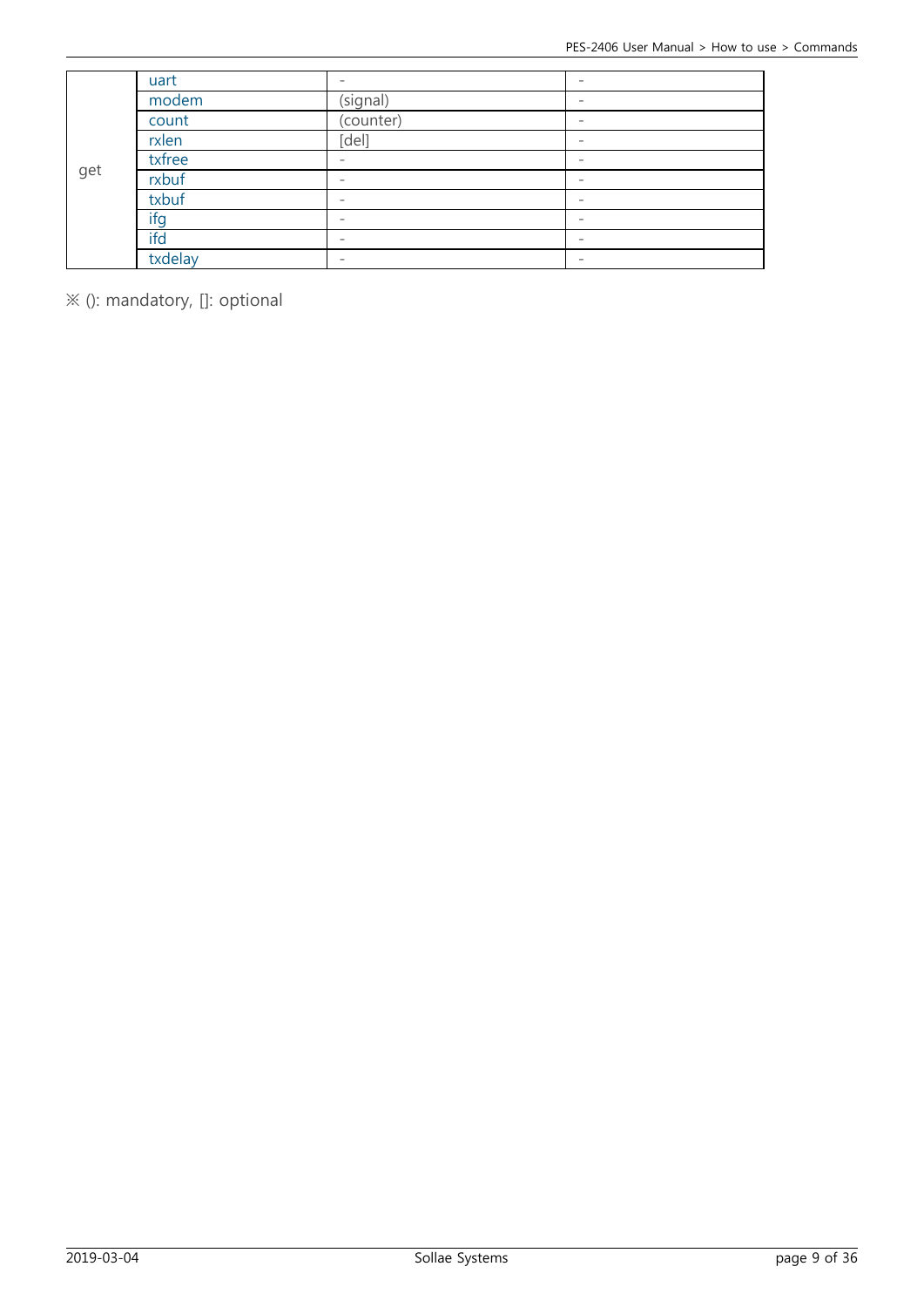|     | uart    | $\overline{\phantom{a}}$ |                          |
|-----|---------|--------------------------|--------------------------|
|     | modem   | (signal)                 |                          |
|     | count   | $\overline{(counter)}$   |                          |
|     | rxlen   | [del]                    | $\qquad \qquad$          |
|     | txfree  |                          |                          |
| get | rxbuf   | $\qquad \qquad$          |                          |
|     | txbuf   | $\overline{\phantom{a}}$ | $\overline{\phantom{0}}$ |
|     | ifg     | $\overline{\phantom{a}}$ |                          |
|     | ifd     | $\qquad \qquad$          |                          |
|     | txdelay | $\overline{\phantom{a}}$ | $\overline{\phantom{a}}$ |

※ (): mandatory, []: optional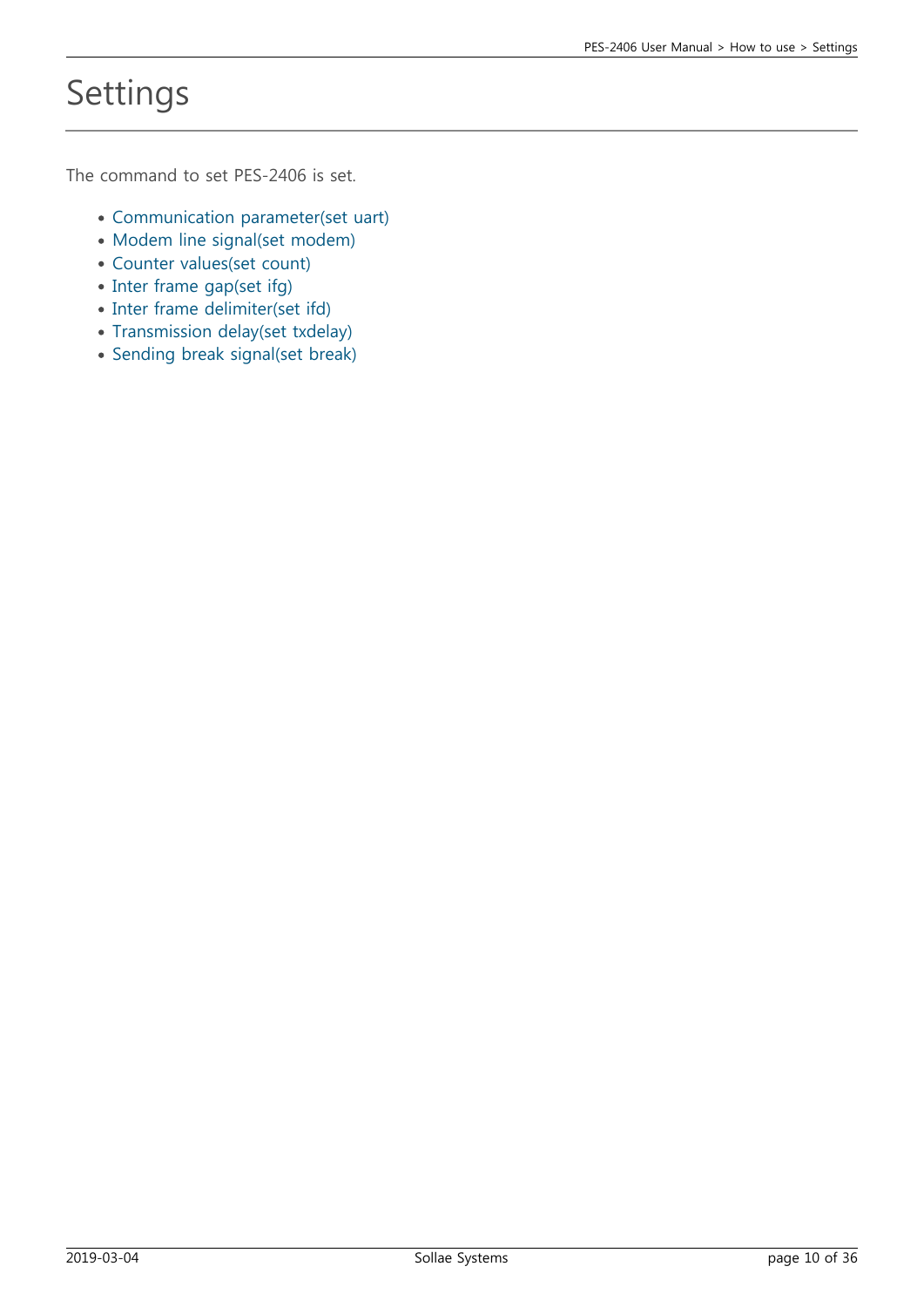# Settings

The command to set PES-2406 is set.

- [Communication parameter\(set uart\)](https://ns3.phpoc.com/support/manual/pes-2406_user_manual/contents.php?id=use_set_uart)
- [Modem line signal\(set modem\)](https://ns3.phpoc.com/support/manual/pes-2406_user_manual/contents.php?id=use_set_modem)
- [Counter values\(set count\)](https://ns3.phpoc.com/support/manual/pes-2406_user_manual/contents.php?id=use_set_count)
- [Inter frame gap\(set ifg\)](https://ns3.phpoc.com/support/manual/pes-2406_user_manual/contents.php?id=use_set_ifg)
- [Inter frame delimiter\(set ifd\)](https://ns3.phpoc.com/support/manual/pes-2406_user_manual/contents.php?id=use_set_ifd)
- [Transmission delay\(set txdelay\)](https://ns3.phpoc.com/support/manual/pes-2406_user_manual/contents.php?id=use_set_txdelay)
- [Sending break signal\(set break\)](https://ns3.phpoc.com/support/manual/pes-2406_user_manual/contents.php?id=use_set_break)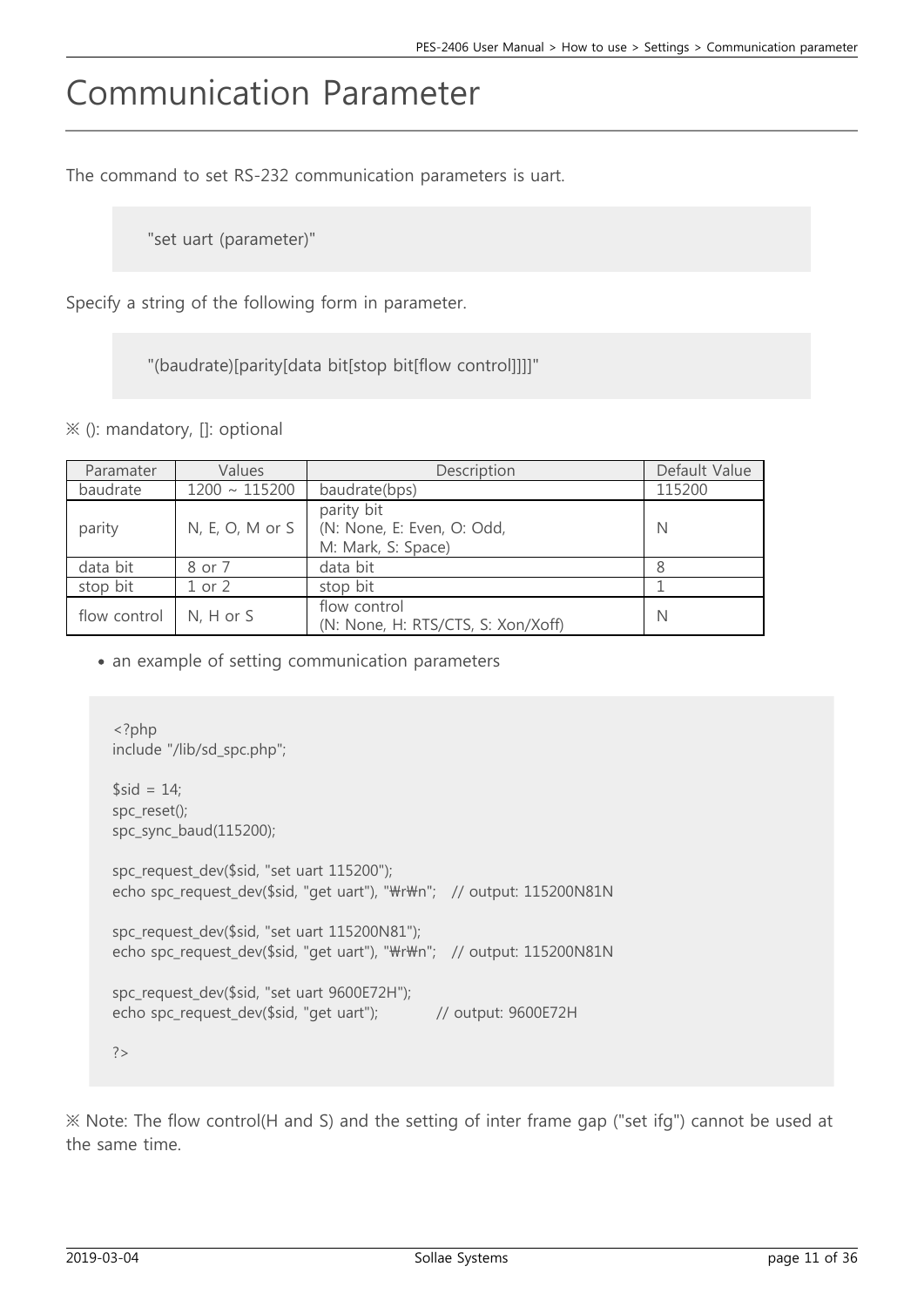## Communication Parameter

The command to set RS-232 communication parameters is uart.

"set uart (parameter)"

Specify a string of the following form in parameter.

"(baudrate)[parity[data bit[stop bit[flow control]]]]"

※ (): mandatory, []: optional

| Paramater    | Values             | Description                                                    | Default Value |
|--------------|--------------------|----------------------------------------------------------------|---------------|
| baudrate     | $1200 \sim 115200$ | baudrate(bps)                                                  | 115200        |
| parity       | $N, E, O, M$ or S  | parity bit<br>(N: None, E: Even, O: Odd,<br>M: Mark, S: Space) | N             |
| data bit     | 8 or 7             | data bit                                                       |               |
| stop bit     | $1$ or $2$         | stop bit                                                       |               |
| flow control | $N, H$ or $S$      | flow control<br>(N: None, H: RTS/CTS, S: Xon/Xoff)             | N             |

• an example of setting communication parameters

```
<?php
include "/lib/sd_spc.php";
$sid = 14;spc_reset();
spc_sync_baud(115200);
spc_request_dev($sid, "set uart 115200");
echo spc_request_dev($sid, "get uart"), "\r\m"; // output: 115200N81N
spc_request_dev($sid, "set uart 115200N81");
echo spc_request_dev($sid, "get uart"), "\r\m"; // output: 115200N81N
spc_request_dev($sid, "set uart 9600E72H");
echo spc_request_dev($sid, "get uart"); // output: 9600E72H
?>
```
※ Note: The flow control(H and S) and the setting of inter frame gap ("set ifg") cannot be used at the same time.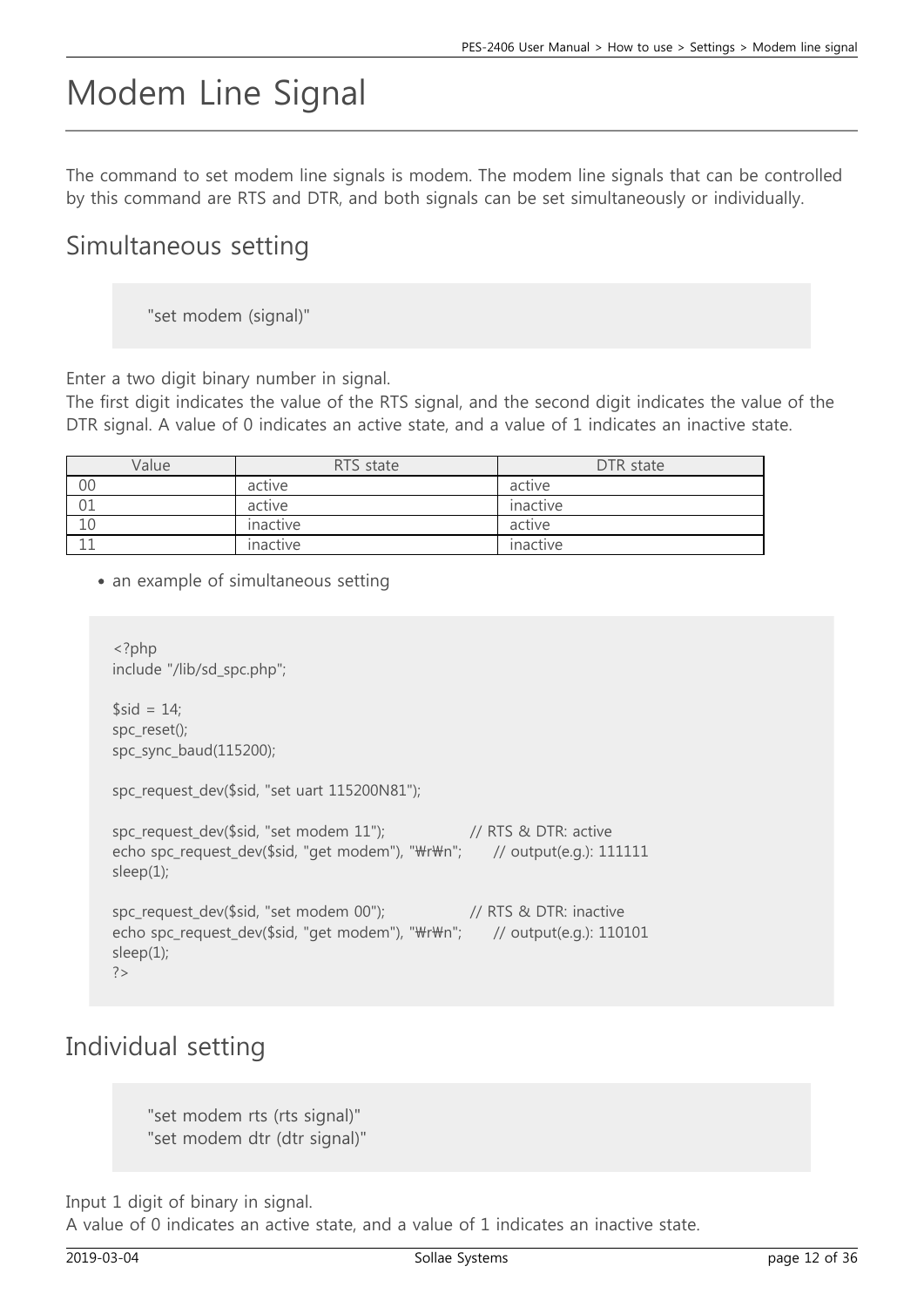# Modem Line Signal

The command to set modem line signals is modem. The modem line signals that can be controlled by this command are RTS and DTR, and both signals can be set simultaneously or individually.

#### Simultaneous setting

"set modem (signal)"

Enter a two digit binary number in signal.

The first digit indicates the value of the RTS signal, and the second digit indicates the value of the DTR signal. A value of 0 indicates an active state, and a value of 1 indicates an inactive state.

| Value | RTS state | DTR state |
|-------|-----------|-----------|
| 00    | active    | active    |
| 01    | active    | inactive  |
| 10    | inactive  | active    |
|       | inactive  | inactive  |

• an example of simultaneous setting

```
<?php
include "/lib/sd_spc.php";
$sid = 14:
spc_reset();
spc_sync_baud(115200);
spc_request_dev($sid, "set uart 115200N81");
spc_request_dev($sid, "set modem 11"); // RTS & DTR: active
echo spc_request_dev($sid, "get modem"), "\r\m"; // output(e.g.): 111111
sleep(1);
spc_request_dev($sid, "set modem 00"); // RTS & DTR: inactive
echo spc_request_dev($sid, "get modem"), "\r\m"; // output(e.g.): 110101
sleep(1);
?
```
#### Individual setting

"set modem rts (rts signal)" "set modem dtr (dtr signal)"

Input 1 digit of binary in signal.

A value of 0 indicates an active state, and a value of 1 indicates an inactive state.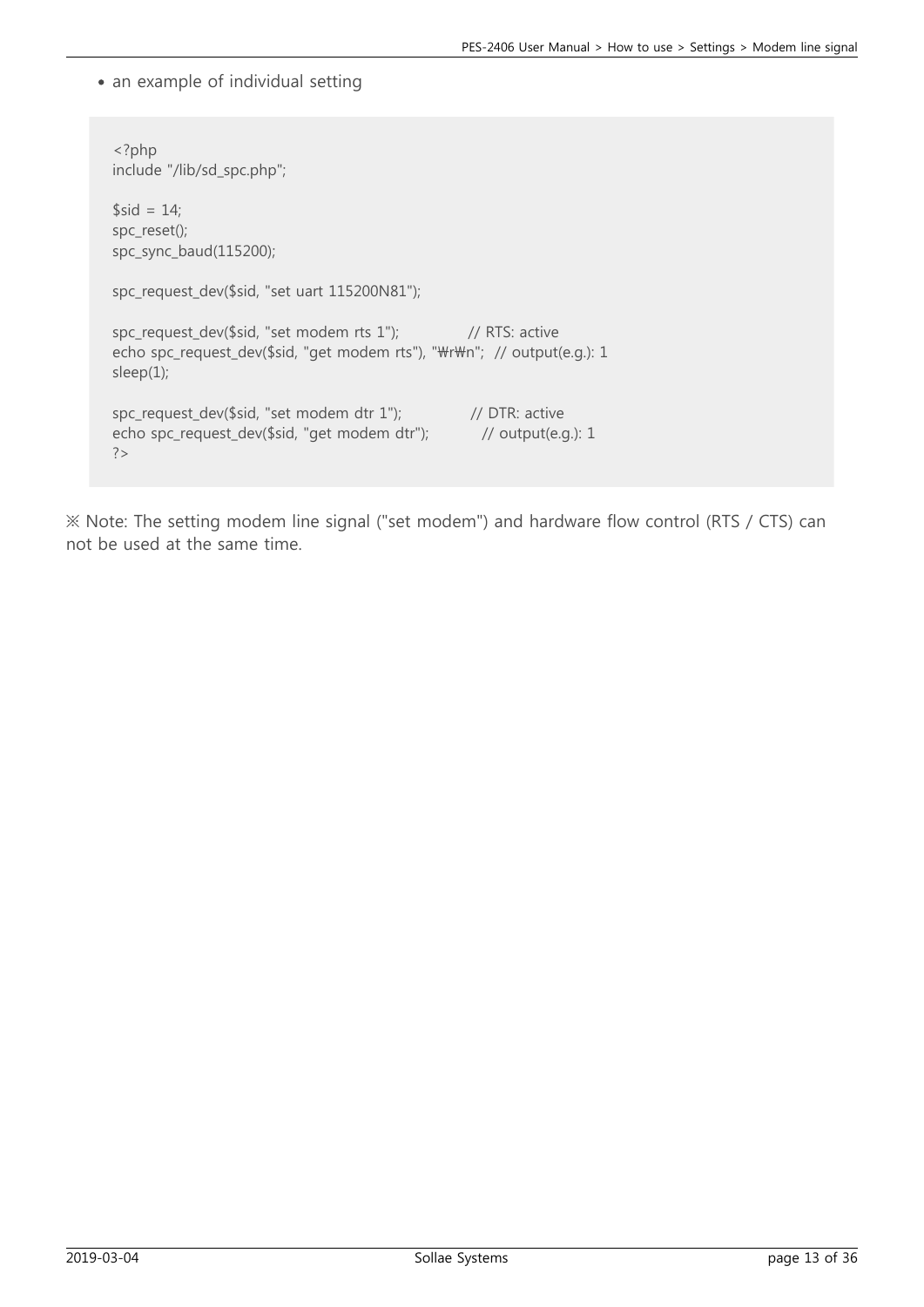• an example of individual setting

```
<?php
include "/lib/sd_spc.php";
$sid = 14;
spc_reset();
spc_sync_baud(115200);
spc_request_dev($sid, "set uart 115200N81");
spc_request_dev($sid, "set modem rts 1"); // RTS: active
echo spc_request_dev($sid, "get modem rts"), "\r\m"; // output(e.g.): 1
sleep(1);
spc_request_dev($sid, "set modem dtr 1"); // DTR: active
echo spc_request_dev($sid, "get modem dtr"); // output(e.g.): 1
?
```
※ Note: The setting modem line signal ("set modem") and hardware flow control (RTS / CTS) can not be used at the same time.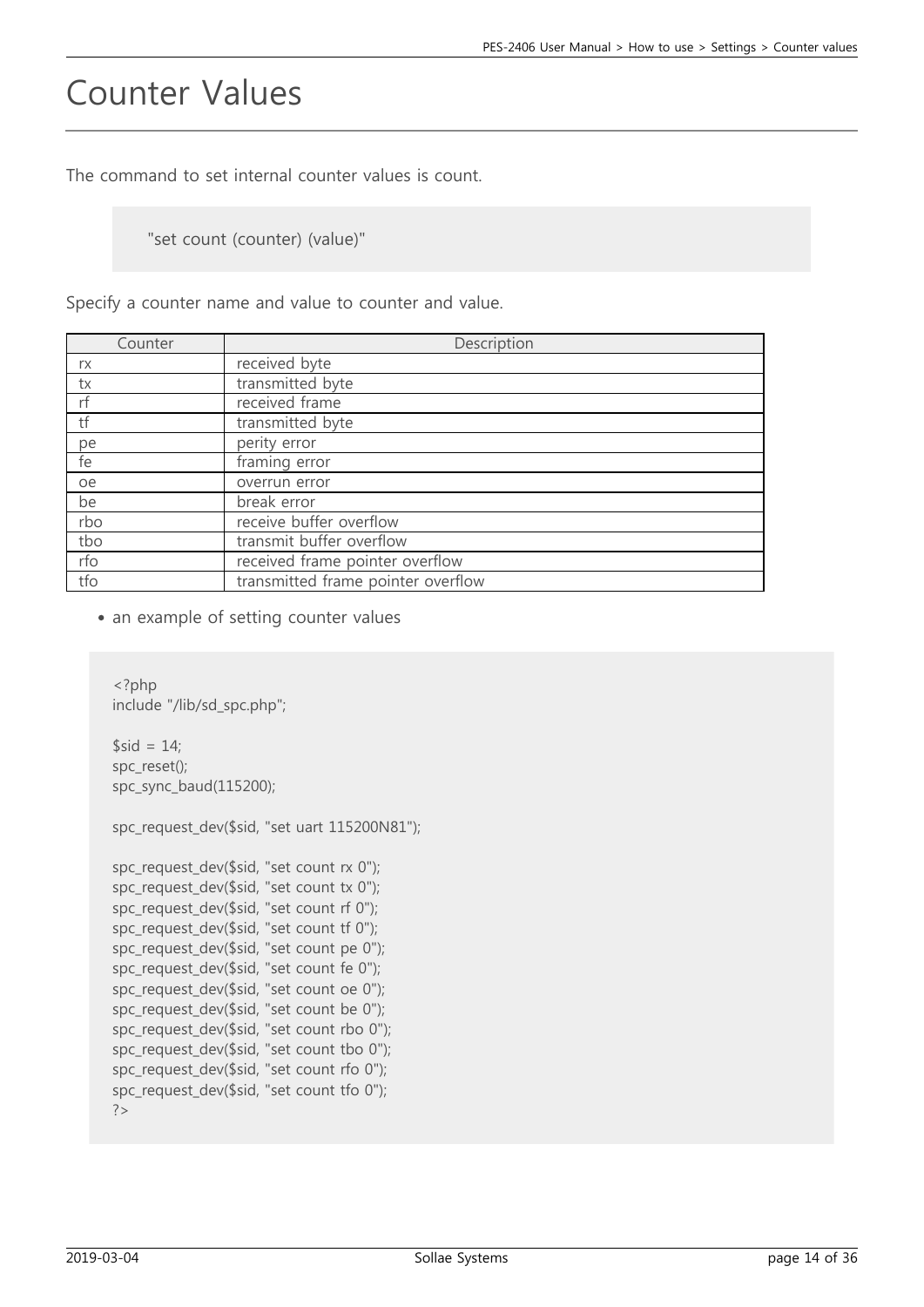### Counter Values

The command to set internal counter values is count.

"set count (counter) (value)"

Specify a counter name and value to counter and value.

| Counter | Description                        |
|---------|------------------------------------|
| rx      | received byte                      |
| tx      | transmitted byte                   |
| rf      | received frame                     |
| tf      | transmitted byte                   |
| pe      | perity error                       |
| fe      | framing error                      |
| oe      | overrun error                      |
| be      | break error                        |
| rbo     | receive buffer overflow            |
| tbo     | transmit buffer overflow           |
| rfo     | received frame pointer overflow    |
| tfo     | transmitted frame pointer overflow |

• an example of setting counter values

```
<?php
include "/lib/sd_spc.php";
$sid = 14;spc_reset();
spc_sync_baud(115200);
spc_request_dev($sid, "set uart 115200N81");
spc_request_dev($sid, "set count rx 0");
spc request dev($sid, "set count tx 0");
spc_request_dev($sid, "set count rf 0");
spc_request_dev($sid, "set count tf 0");
spc_request_dev($sid, "set count pe 0");
spc_request_dev($sid, "set count fe 0");
spc_request_dev($sid, "set count oe 0");
spc_request_dev($sid, "set count be 0");
spc_request_dev($sid, "set count rbo 0");
spc request dev($sid, "set count tbo 0");
spc_request_dev($sid, "set count rfo 0");
spc_request_dev($sid, "set count tfo 0");
?>
```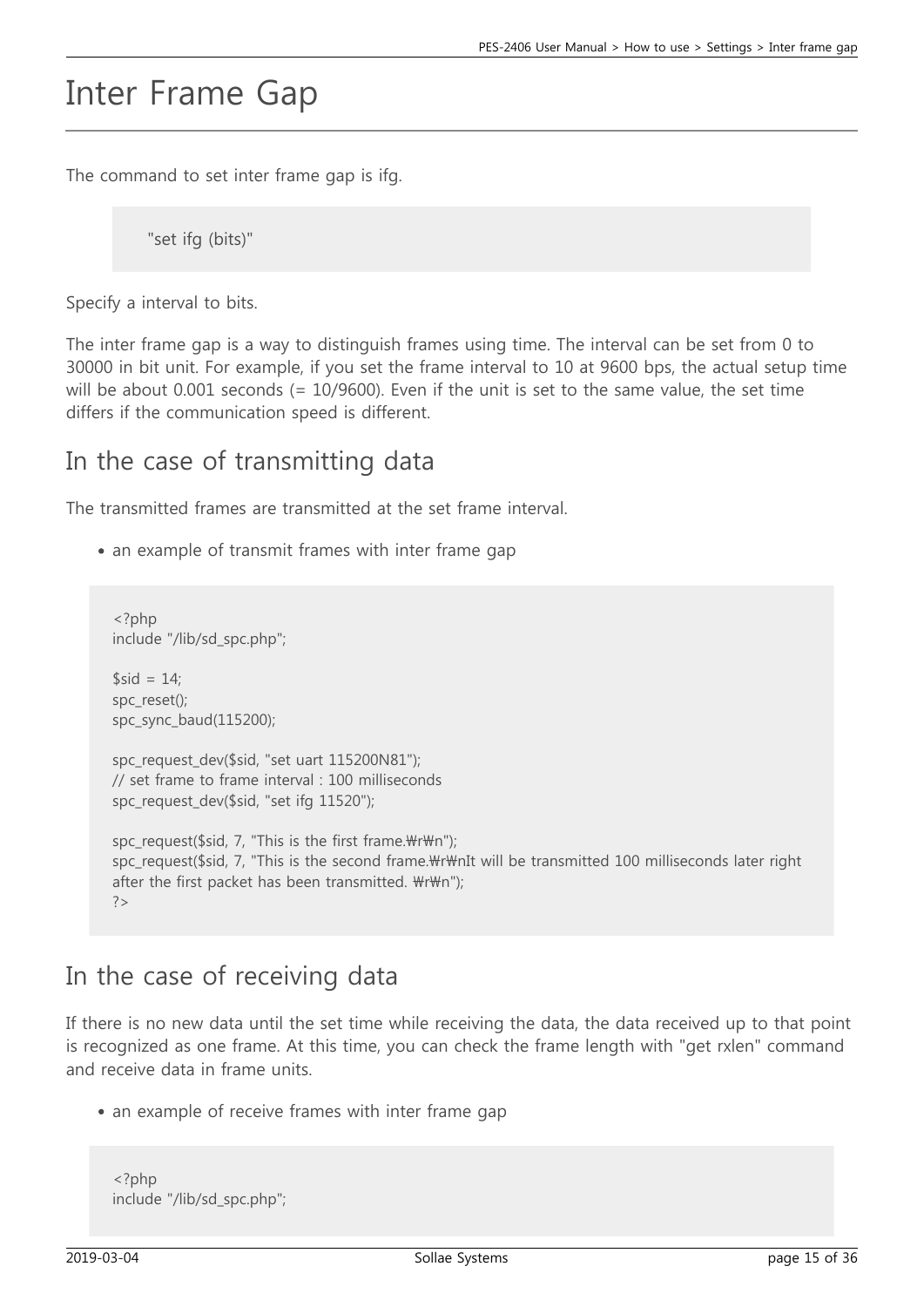### Inter Frame Gap

The command to set inter frame gap is ifg.

"set ifg (bits)"

Specify a interval to bits.

The inter frame gap is a way to distinguish frames using time. The interval can be set from 0 to 30000 in bit unit. For example, if you set the frame interval to 10 at 9600 bps, the actual setup time will be about 0.001 seconds (= 10/9600). Even if the unit is set to the same value, the set time differs if the communication speed is different.

#### In the case of transmitting data

The transmitted frames are transmitted at the set frame interval.

• an example of transmit frames with inter frame gap

```
<?php
include "/lib/sd_spc.php";
$sid = 14;
spc_reset();
spc_sync_baud(115200);
spc_request_dev($sid, "set uart 115200N81");
// set frame to frame interval : 100 milliseconds
spc_request_dev($sid, "set ifg 11520");
spc request($sid, 7, "This is the first frame.\forall r \forall m");
spc_request($sid, 7, "This is the second frame.\r\mIt will be transmitted 100 milliseconds later right
after the first packet has been transmitted. \forall r \forall m");
?>
```
#### In the case of receiving data

If there is no new data until the set time while receiving the data, the data received up to that point is recognized as one frame. At this time, you can check the frame length with "get rxlen" command and receive data in frame units.

• an example of receive frames with inter frame gap

```
<?php
include "/lib/sd_spc.php";
```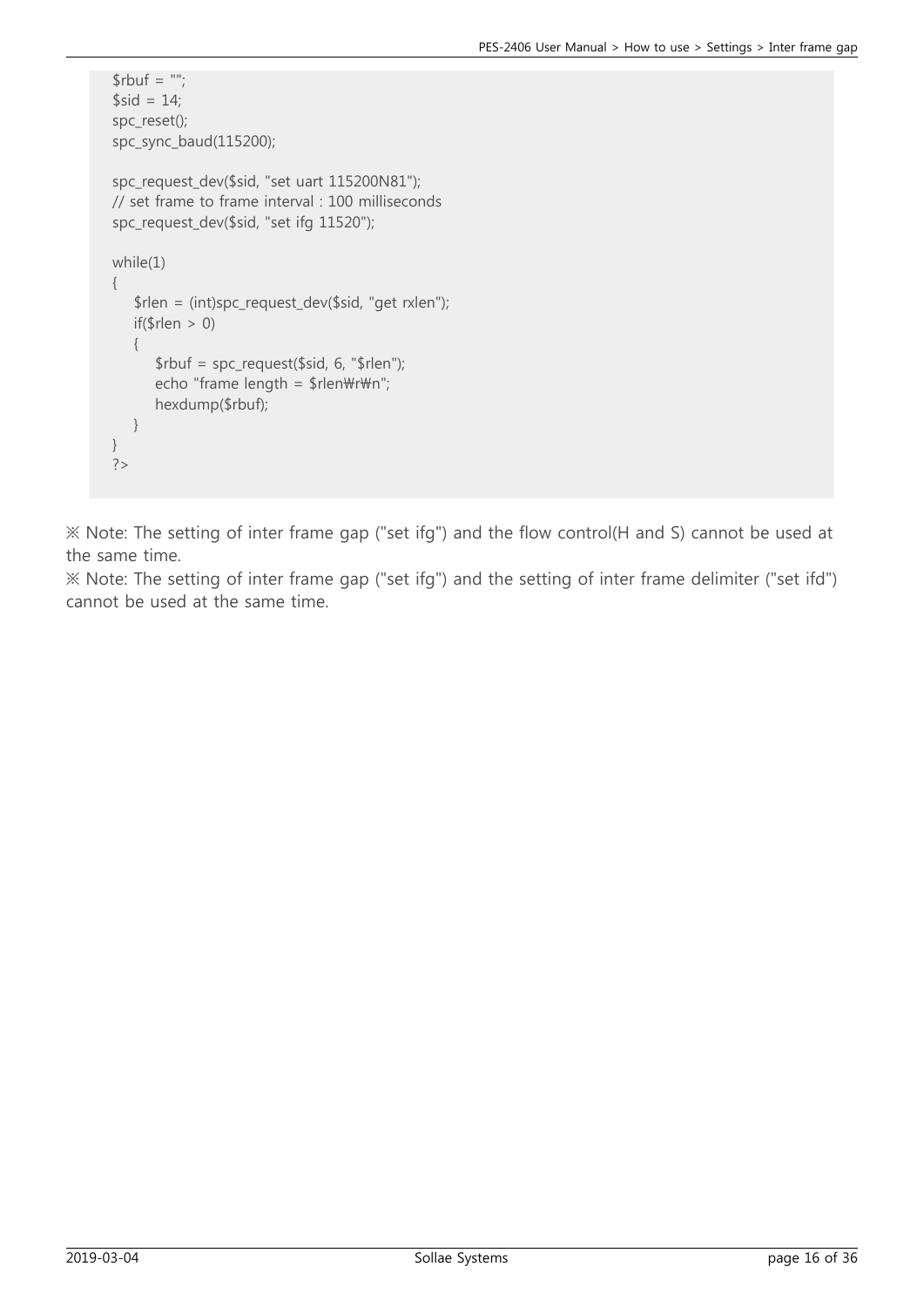```
$rbuf = ";
$sid = 14;spc_reset();
spc_sync_baud(115200);
spc_request_dev($sid, "set uart 115200N81");
// set frame to frame interval : 100 milliseconds
spc_request_dev($sid, "set ifg 11520");
while(1)
{
    $rlen = (int)spc_request_dev($sid, "get rxlen");
   if(\text{$rlen} > 0) {
       $rbuf = spc_request($sid, 6, "$rlen");
      echo "frame length = \frac{1}{2}rlen\r\mn";
       hexdump($rbuf);
    }
}
?>
```
※ Note: The setting of inter frame gap ("set ifg") and the flow control(H and S) cannot be used at the same time.

※ Note: The setting of inter frame gap ("set ifg") and the setting of inter frame delimiter ("set ifd") cannot be used at the same time.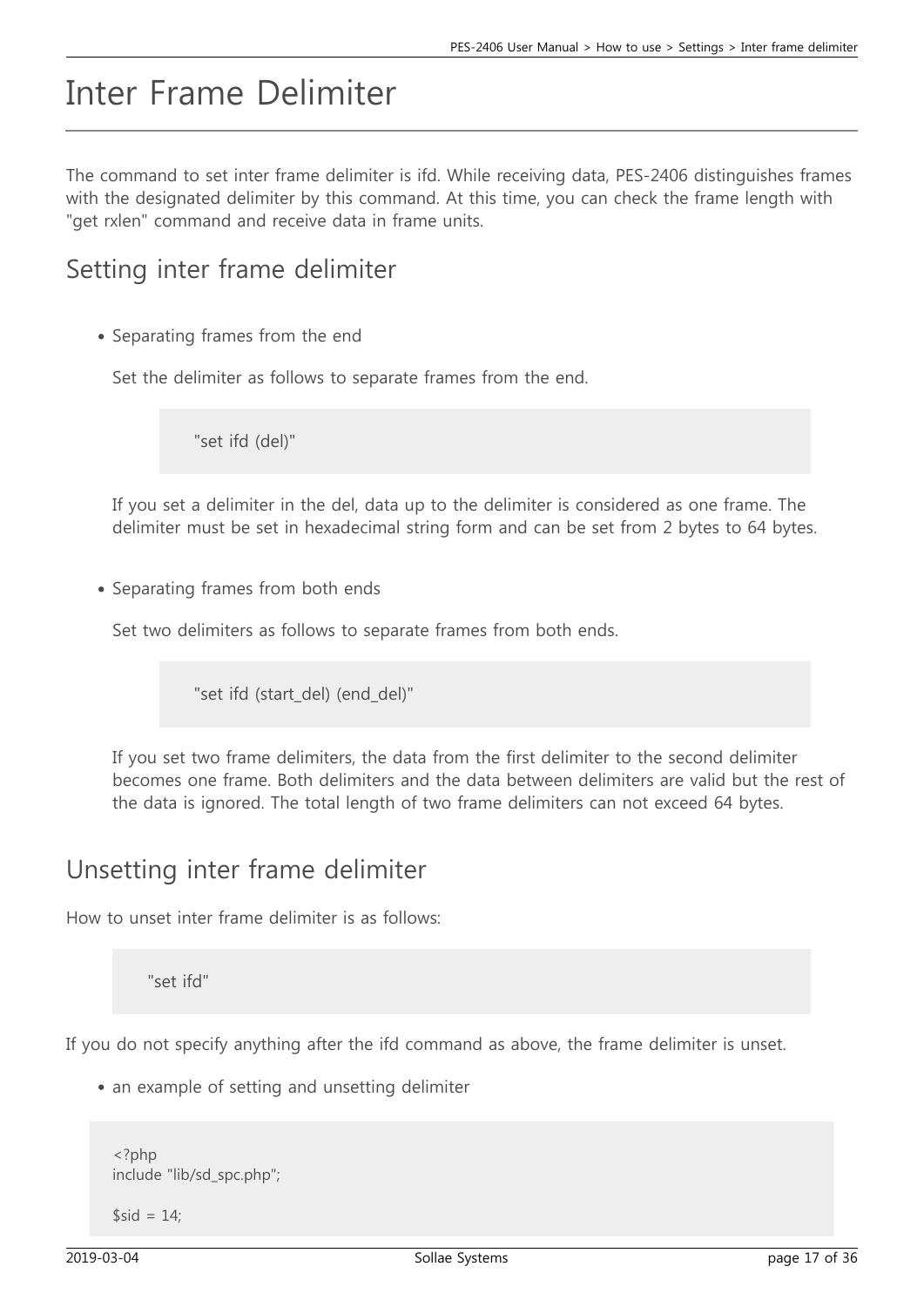## Inter Frame Delimiter

The command to set inter frame delimiter is ifd. While receiving data, PES-2406 distinguishes frames with the designated delimiter by this command. At this time, you can check the frame length with "get rxlen" command and receive data in frame units.

#### Setting inter frame delimiter

• Separating frames from the end

Set the delimiter as follows to separate frames from the end.

"set ifd (del)"

If you set a delimiter in the del, data up to the delimiter is considered as one frame. The delimiter must be set in hexadecimal string form and can be set from 2 bytes to 64 bytes.

• Separating frames from both ends

Set two delimiters as follows to separate frames from both ends.

"set ifd (start\_del) (end\_del)"

If you set two frame delimiters, the data from the first delimiter to the second delimiter becomes one frame. Both delimiters and the data between delimiters are valid but the rest of the data is ignored. The total length of two frame delimiters can not exceed 64 bytes.

#### Unsetting inter frame delimiter

How to unset inter frame delimiter is as follows:

"set ifd"

If you do not specify anything after the ifd command as above, the frame delimiter is unset.

• an example of setting and unsetting delimiter

```
<?php
include "lib/sd_spc.php";
```
 $$sid = 14;$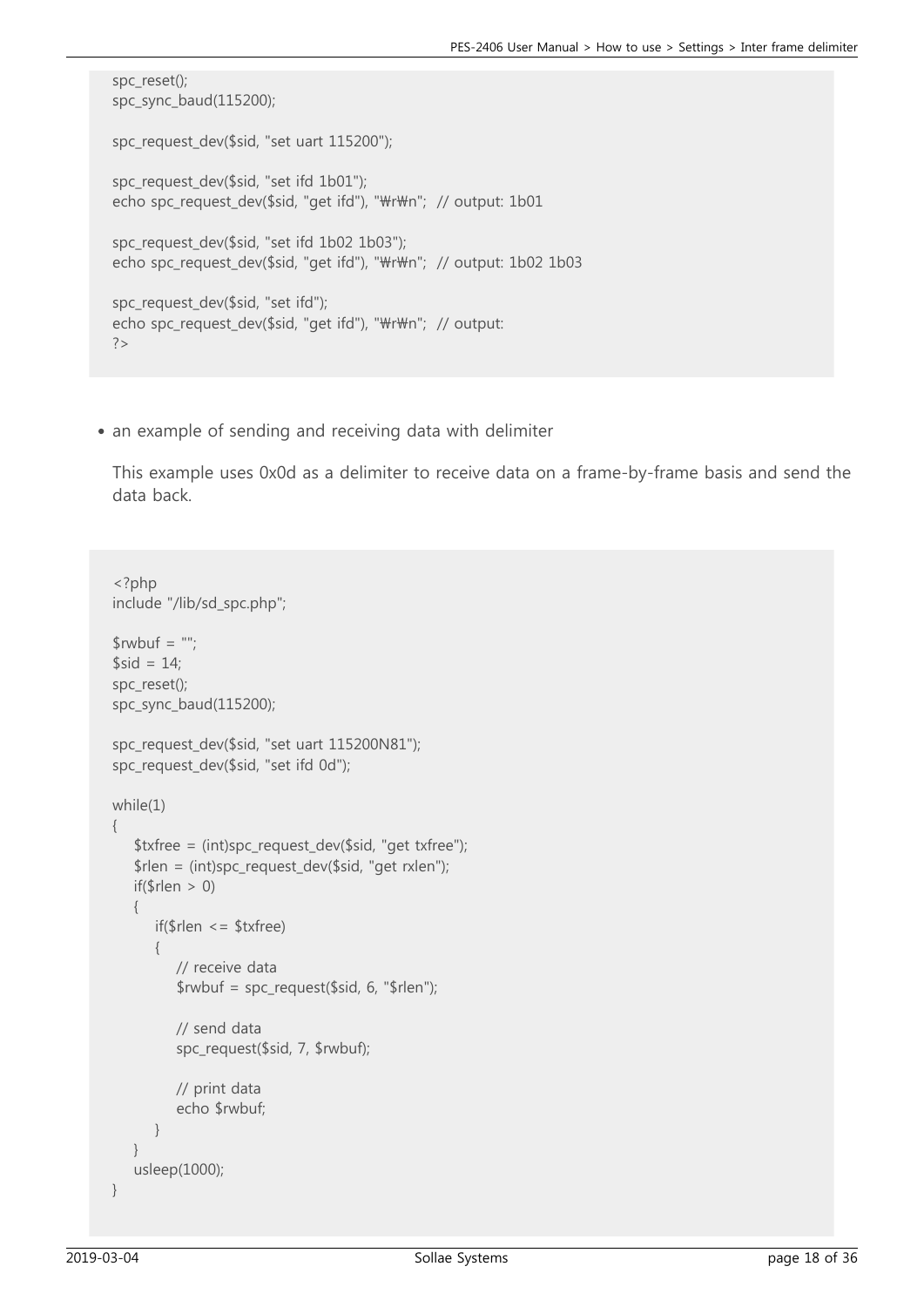```
spc_reset();
spc_sync_baud(115200);
spc_request_dev($sid, "set uart 115200");
spc_request_dev($sid, "set ifd 1b01");
echo spc_request_dev($sid, "get ifd"), "\r\m"; // output: 1b01
spc_request_dev($sid, "set ifd 1b02 1b03");
echo spc_request_dev($sid, "get ifd"), "\r\m"; // output: 1b02 1b03
spc_request_dev($sid, "set ifd");
echo spc_request_dev($sid, "get ifd"), "\r\n"; // output:
```
• an example of sending and receiving data with delimiter

This example uses 0x0d as a delimiter to receive data on a frame-by-frame basis and send the data back.

```
<?php
include "/lib/sd_spc.php";
$rwbuf = ";
$sid = 14;spc_reset();
spc_sync_baud(115200);
spc_request_dev($sid, "set uart 115200N81");
spc_request_dev($sid, "set ifd 0d");
while(1)
{
   $txfree = (int)spc request dev($sid, "get txfree");
    $rlen = (int)spc_request_dev($sid, "get rxlen");
   if(\$rlen > 0)
    {
       if($rlen <= $txfree)
\{ // receive data
          $rwbuf = spc_request($sid, 6, "$rlen");
          // send data
          spc_request($sid, 7, $rwbuf);
          // print data
          echo $rwbuf;
       }
    }
    usleep(1000);
}
```
 $?$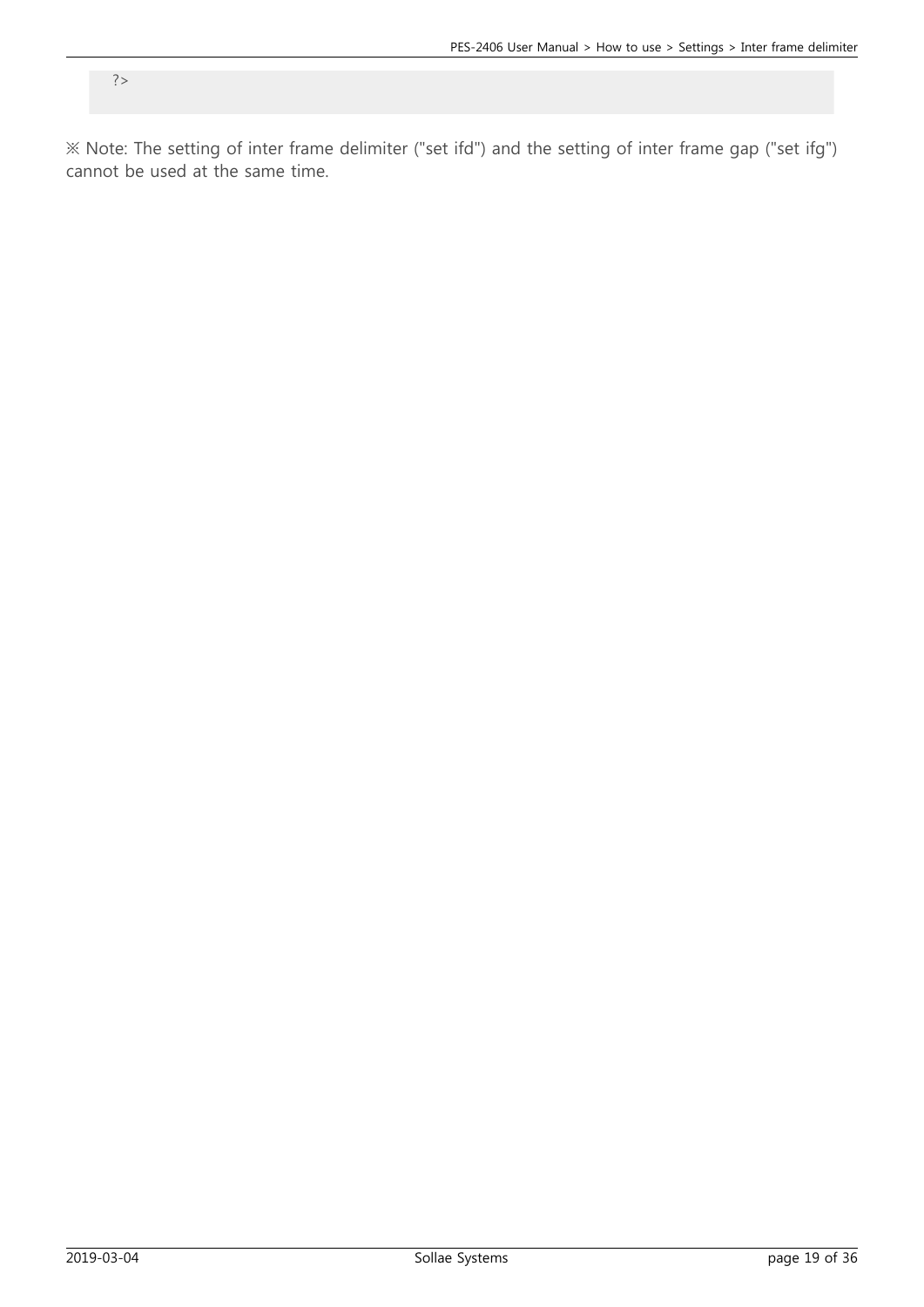※ Note: The setting of inter frame delimiter ("set ifd") and the setting of inter frame gap ("set ifg") cannot be used at the same time.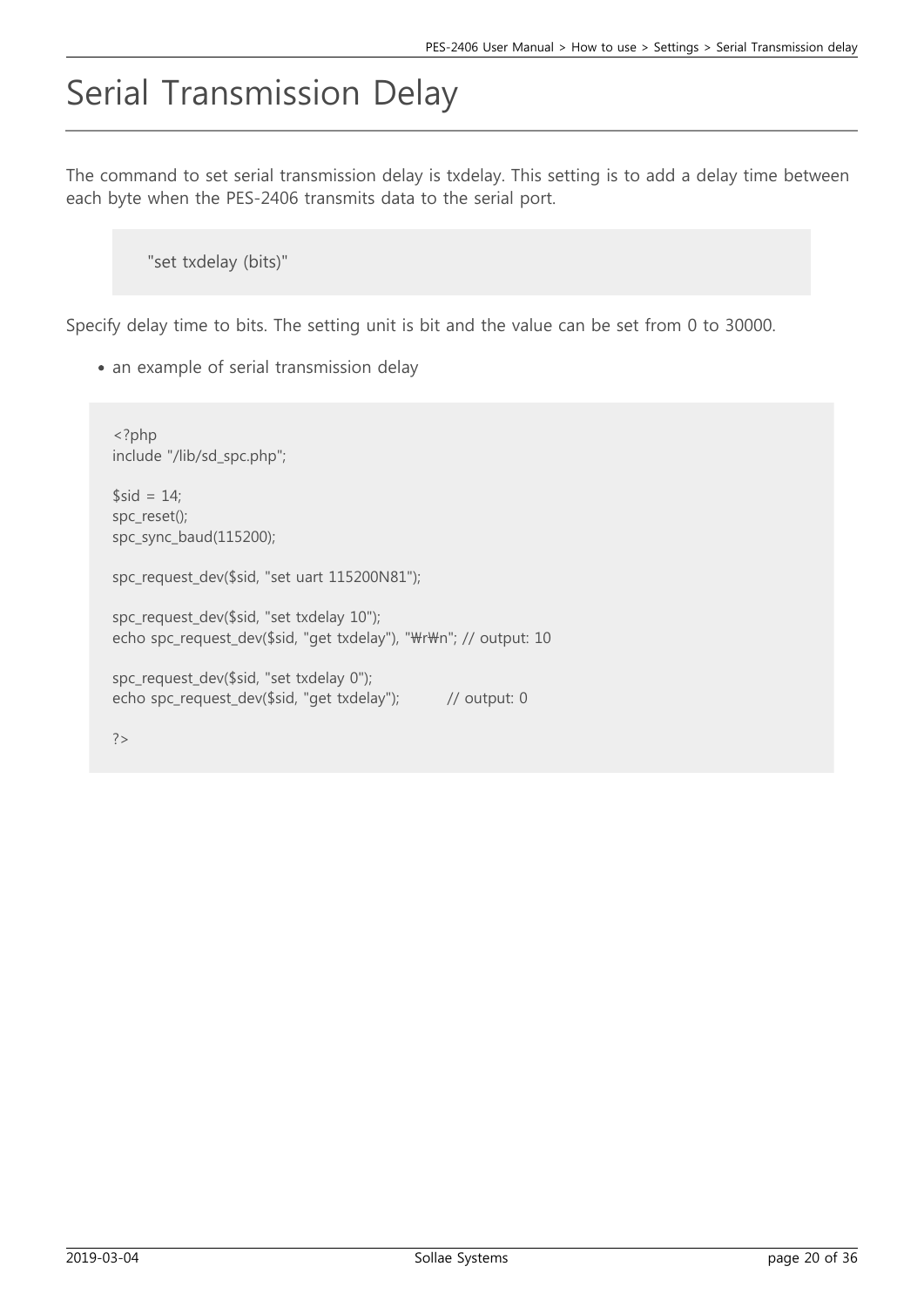## Serial Transmission Delay

The command to set serial transmission delay is txdelay. This setting is to add a delay time between each byte when the PES-2406 transmits data to the serial port.

"set txdelay (bits)"

Specify delay time to bits. The setting unit is bit and the value can be set from 0 to 30000.

• an example of serial transmission delay

<?php include "/lib/sd\_spc.php";  $$sid = 14;$ spc\_reset(); spc\_sync\_baud(115200); spc\_request\_dev(\$sid, "set uart 115200N81"); spc\_request\_dev(\$sid, "set txdelay 10"); echo spc\_request\_dev(\$sid, "get txdelay"), "\r\n"; // output: 10 spc\_request\_dev(\$sid, "set txdelay 0"); echo spc\_request\_dev(\$sid, "get txdelay"); // output: 0 ?>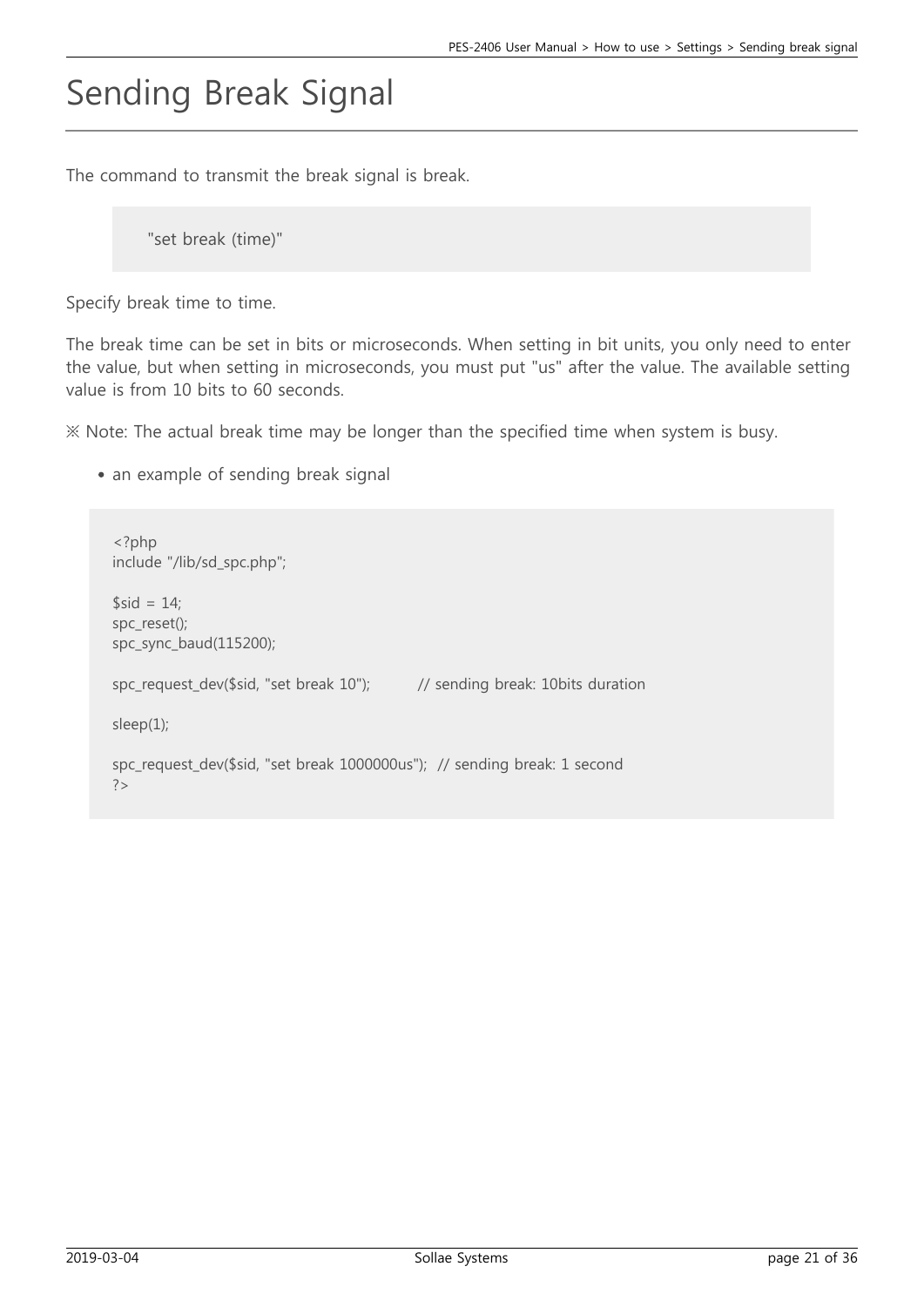# Sending Break Signal

The command to transmit the break signal is break.

```
"set break (time)"
```
Specify break time to time.

The break time can be set in bits or microseconds. When setting in bit units, you only need to enter the value, but when setting in microseconds, you must put "us" after the value. The available setting value is from 10 bits to 60 seconds.

※ Note: The actual break time may be longer than the specified time when system is busy.

• an example of sending break signal

```
<?php
include "/lib/sd_spc.php";
$sid = 14;spc_reset();
spc_sync_baud(115200);
spc_request_dev($sid, "set break 10"); // sending break: 10bits duration
sleep(1);
spc_request_dev($sid, "set break 1000000us"); // sending break: 1 second
?
```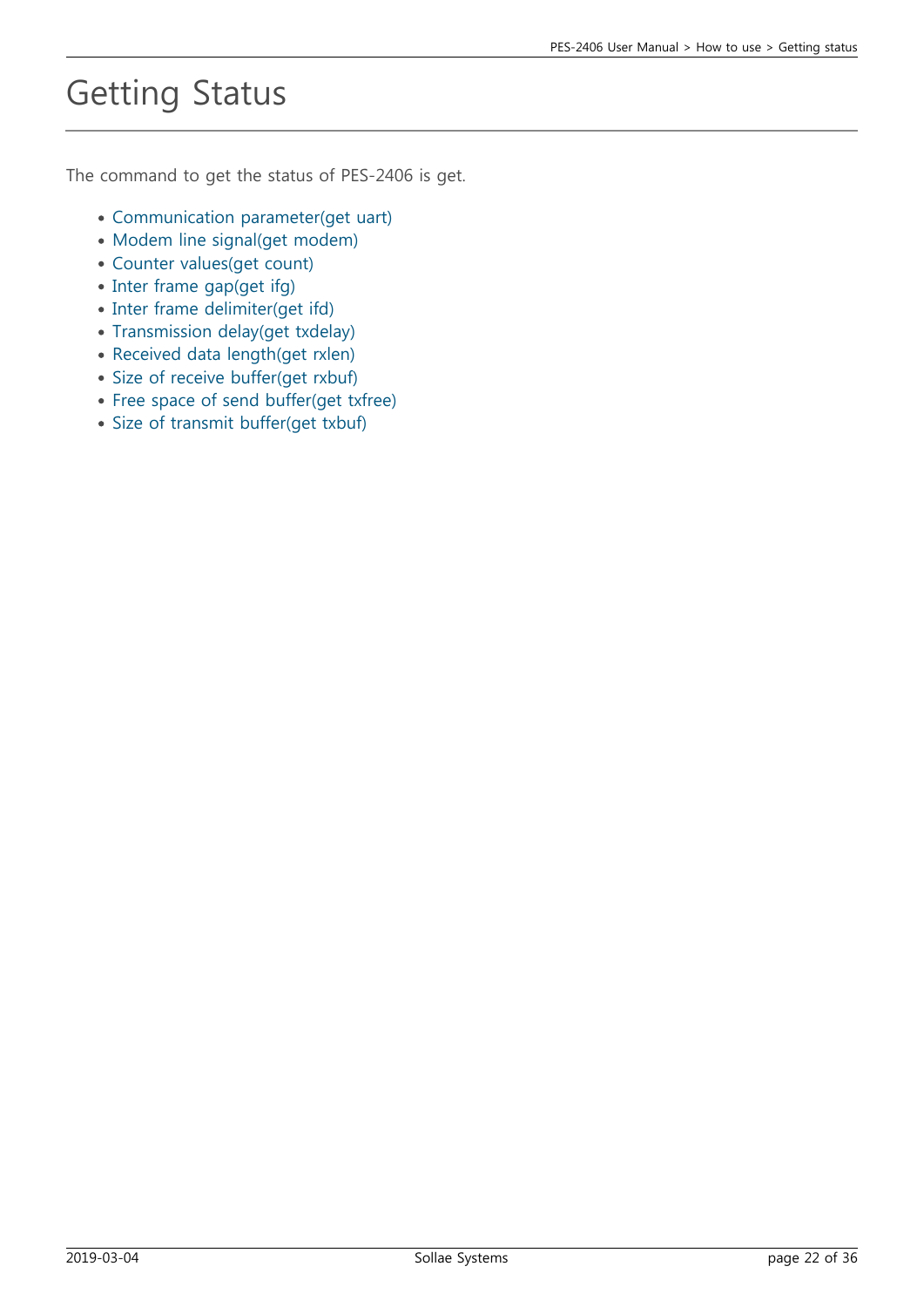# Getting Status

The command to get the status of PES-2406 is get.

- [Communication parameter\(get uart\)](https://ns3.phpoc.com/support/manual/pes-2406_user_manual/contents.php?id=use_get_uart)
- [Modem line signal\(get modem\)](https://ns3.phpoc.com/support/manual/pes-2406_user_manual/contents.php?id=use_get_modem)
- [Counter values\(get count\)](https://ns3.phpoc.com/support/manual/pes-2406_user_manual/contents.php?id=use_get_count)
- [Inter frame gap\(get ifg\)](https://ns3.phpoc.com/support/manual/pes-2406_user_manual/contents.php?id=use_get_ifg)
- [Inter frame delimiter\(get ifd\)](https://ns3.phpoc.com/support/manual/pes-2406_user_manual/contents.php?id=use_get_ifd)
- [Transmission delay\(get txdelay\)](https://ns3.phpoc.com/support/manual/pes-2406_user_manual/contents.php?id=use_get_txdelay)
- [Received data length\(get rxlen\)](https://ns3.phpoc.com/support/manual/pes-2406_user_manual/contents.php?id=use_get_rxlen)
- [Size of receive buffer\(get rxbuf\)](https://ns3.phpoc.com/support/manual/pes-2406_user_manual/contents.php?id=use_get_rxbuf)
- [Free space of send buffer\(get txfree\)](https://ns3.phpoc.com/support/manual/pes-2406_user_manual/contents.php?id=use_get_txfree)
- [Size of transmit buffer\(get txbuf\)](https://ns3.phpoc.com/support/manual/pes-2406_user_manual/contents.php?id=use_get_txbuf)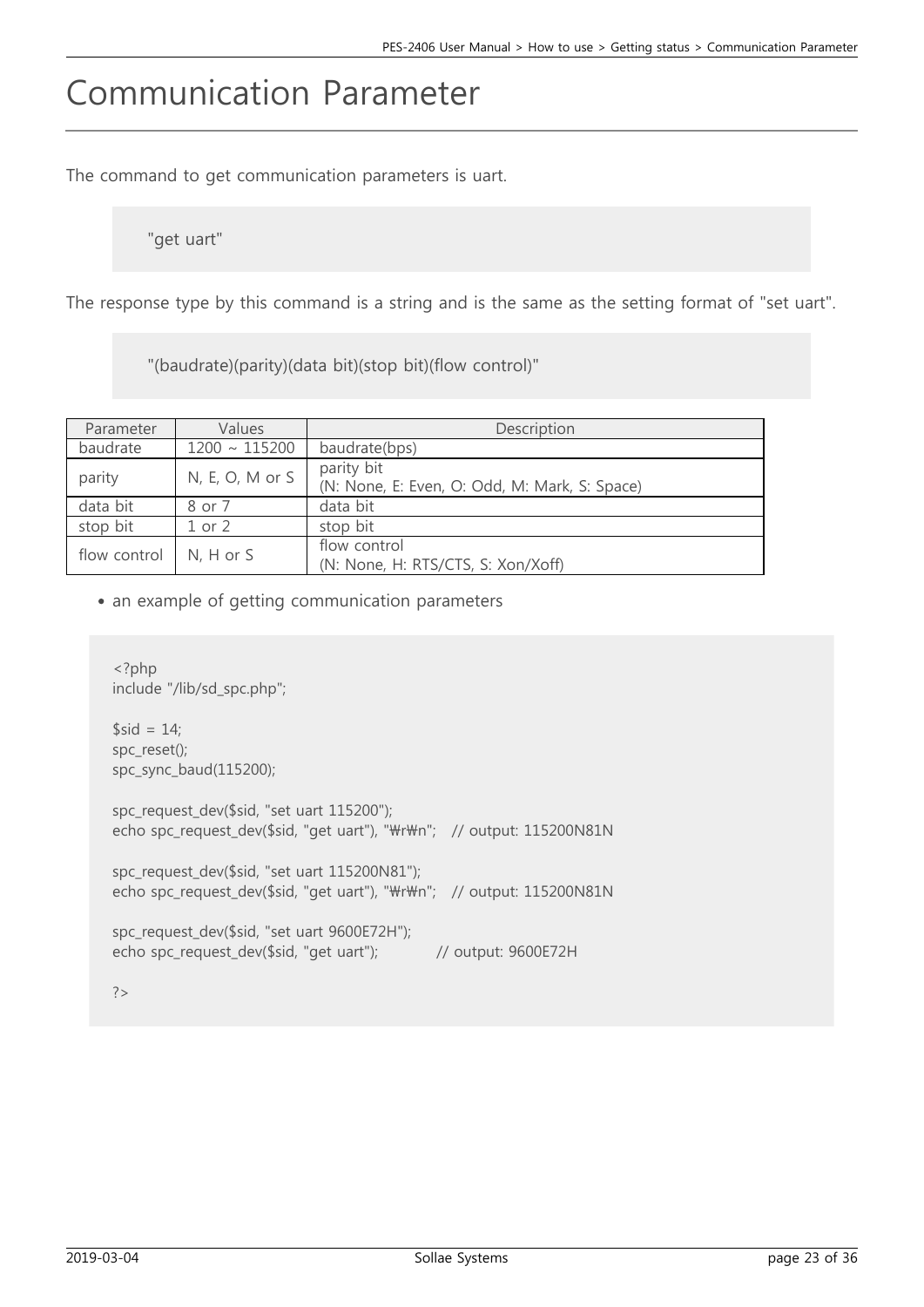## Communication Parameter

The command to get communication parameters is uart.

"get uart"

The response type by this command is a string and is the same as the setting format of "set uart".

"(baudrate)(parity)(data bit)(stop bit)(flow control)"

| Parameter    | Values             | Description                                                 |
|--------------|--------------------|-------------------------------------------------------------|
| baudrate     | $1200 \sim 115200$ | baudrate(bps)                                               |
| parity       | $N, E, O, M$ or S  | parity bit<br>(N: None, E: Even, O: Odd, M: Mark, S: Space) |
| data bit     | 8 or 7             | data bit                                                    |
| stop bit     | $1$ or $2$         | stop bit                                                    |
| flow control | $N, H$ or $S$      | flow control<br>(N: None, H: RTS/CTS, S: Xon/Xoff)          |

• an example of getting communication parameters

```
<?php
include "/lib/sd_spc.php";
$sid = 14;
spc_reset();
spc_sync_baud(115200);
spc_request_dev($sid, "set uart 115200");
echo spc_request_dev($sid, "get uart"), "\r\m"; // output: 115200N81N
spc_request_dev($sid, "set uart 115200N81");
echo spc_request_dev($sid, "get uart"), "\r\m"; // output: 115200N81N
spc_request_dev($sid, "set uart 9600E72H");
echo spc_request_dev($sid, "get uart"); // output: 9600E72H
?>
```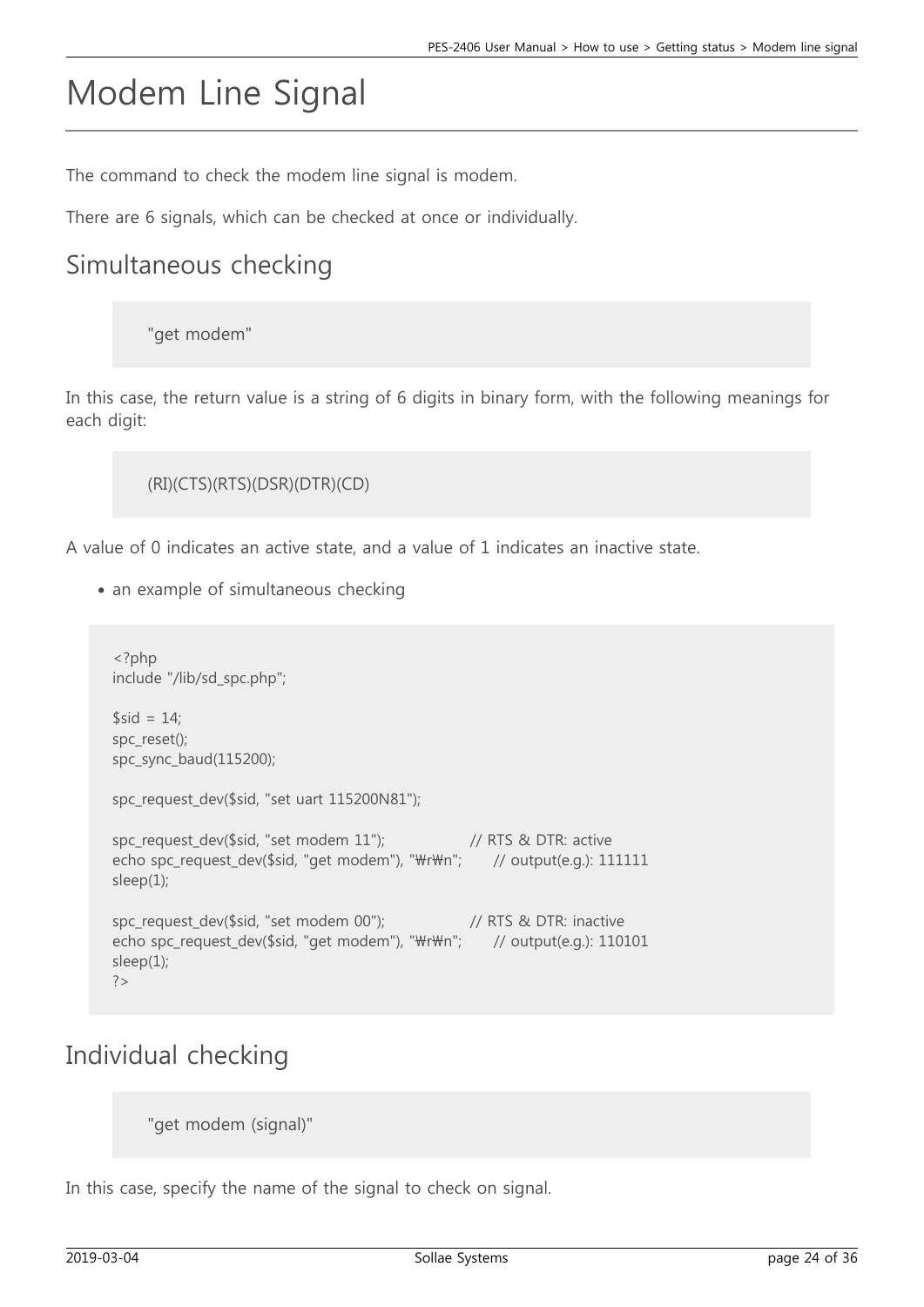## Modem Line Signal

The command to check the modem line signal is modem.

There are 6 signals, which can be checked at once or individually.

#### Simultaneous checking

"get modem"

In this case, the return value is a string of 6 digits in binary form, with the following meanings for each digit:

```
(RI)(CTS)(RTS)(DSR)(DTR)(CD)
```
A value of 0 indicates an active state, and a value of 1 indicates an inactive state.

• an example of simultaneous checking

```
<?php
include "/lib/sd_spc.php";
$sid = 14;spc_reset();
spc_sync_baud(115200);
spc_request_dev($sid, "set uart 115200N81");
spc_request_dev($sid, "set modem 11"); // RTS & DTR: active
echo spc_request_dev($sid, "get modem"), "\r\m"; // output(e.g.): 111111
sleep(1);
spc_request_dev($sid, "set modem 00"); // RTS & DTR: inactive
echo spc_request_dev($sid, "get modem"), "\r\m"; // output(e.g.): 110101
sleep(1);
?>
```
#### Individual checking

"get modem (signal)"

In this case, specify the name of the signal to check on signal.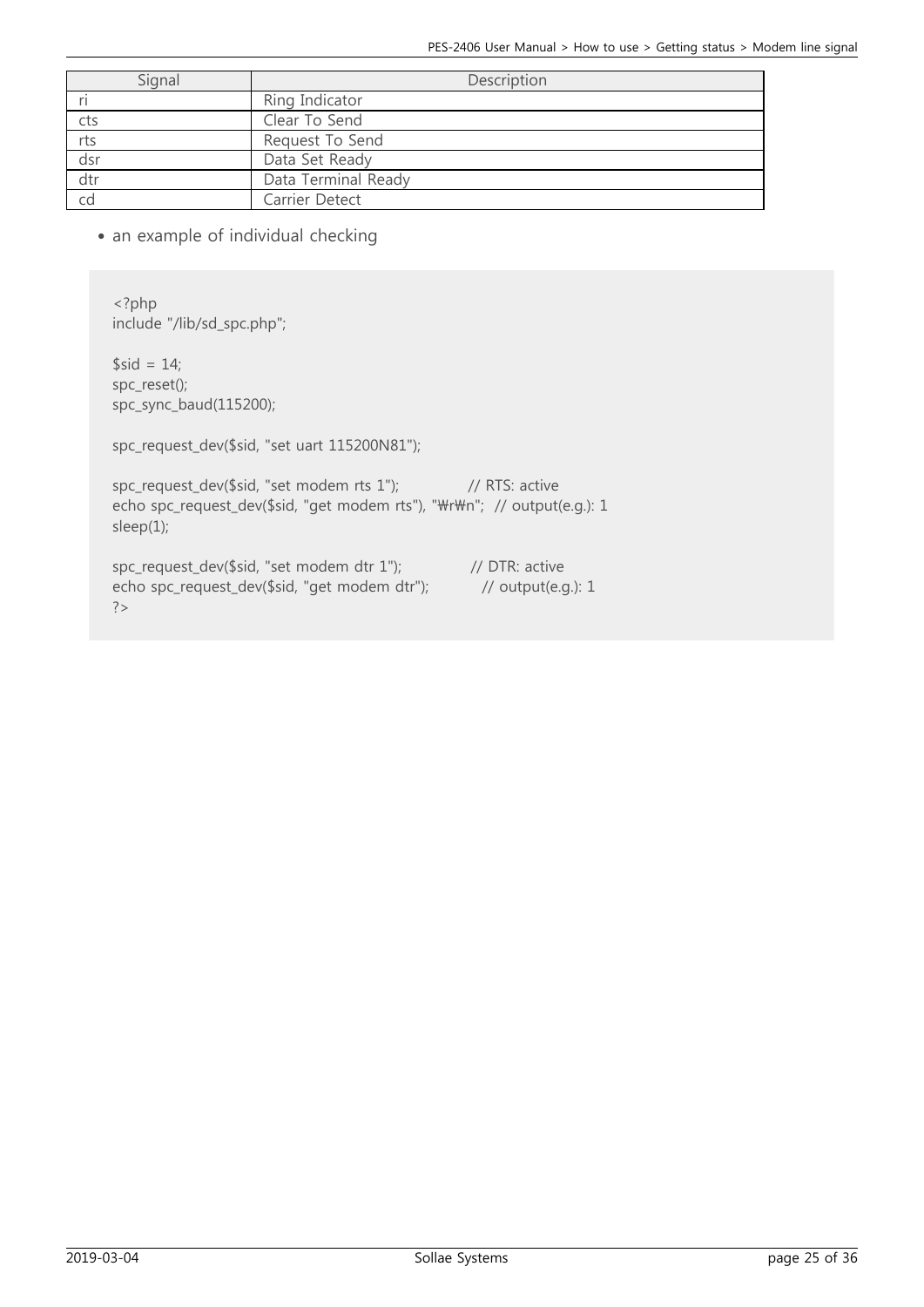| Signal | Description         |
|--------|---------------------|
|        | Ring Indicator      |
| cts    | Clear To Send       |
| rts    | Request To Send     |
| dsr    | Data Set Ready      |
| dtr    | Data Terminal Ready |
|        | Carrier Detect      |

• an example of individual checking

<?php include "/lib/sd\_spc.php";

 $$sid = 14;$ spc\_reset(); spc\_sync\_baud(115200);

spc\_request\_dev(\$sid, "set uart 115200N81");

spc\_request\_dev(\$sid, "set modem rts 1"); // RTS: active echo spc\_request\_dev(\$sid, "get modem rts"), "\r\m"; // output(e.g.): 1 sleep(1);

spc\_request\_dev(\$sid, "set modem dtr 1"); // DTR: active echo spc\_request\_dev(\$sid, "get modem dtr"); // output(e.g.): 1 ?>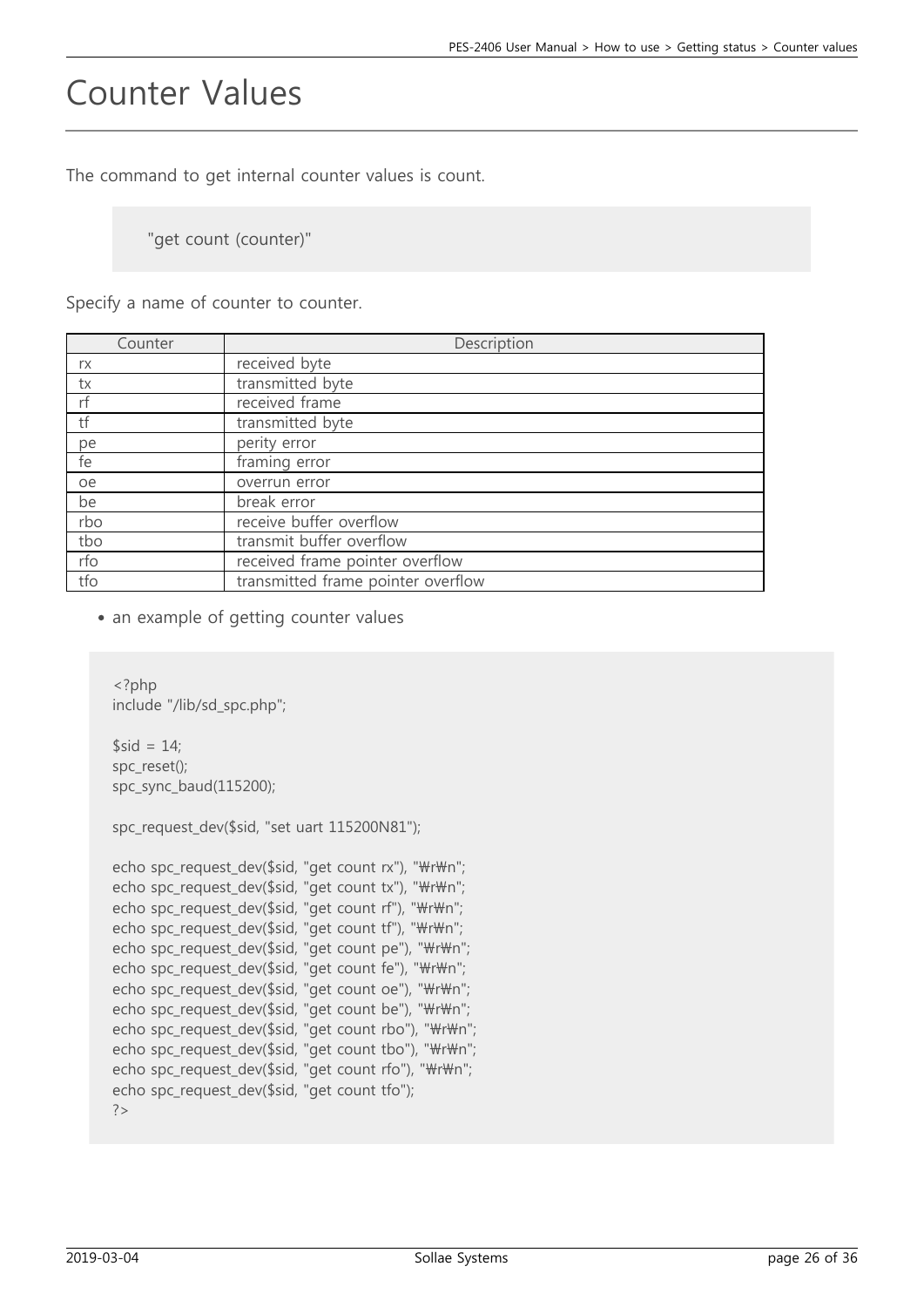### Counter Values

The command to get internal counter values is count.

"get count (counter)"

Specify a name of counter to counter.

| Counter | Description                        |
|---------|------------------------------------|
| rx      | received byte                      |
| tx      | transmitted byte                   |
| rf      | received frame                     |
| tf      | transmitted byte                   |
| pe      | perity error                       |
| fe      | framing error                      |
| oe      | overrun error                      |
| be      | break error                        |
| rbo     | receive buffer overflow            |
| tbo     | transmit buffer overflow           |
| rfo     | received frame pointer overflow    |
| tfo     | transmitted frame pointer overflow |

• an example of getting counter values

```
<?php
include "/lib/sd_spc.php";
$sid = 14;spc_reset();
spc_sync_baud(115200);
spc_request_dev($sid, "set uart 115200N81");
echo spc_request_dev($sid, "get count rx"), "\r\n";
echo spc_request_dev($sid, "get count tx"), "\r\n";
echo spc_request_dev($sid, "get count rf"), "\r\n";
echo spc_request_dev($sid, "get count tf"), "\r\n";
echo spc request dev($sid, "get count pe"), "\r\n";
echo spc_request_dev($sid, "get count fe"), "\r\n";
echo spc_request_dev($sid, "get count oe"), "\r\n";
echo spc_request_dev($sid, "get count be"), "\r\n";
echo spc_request_dev($sid, "get count rbo"), "\r\n";
echo spc request dev($sid, "get count tbo"), "\r\n";
echo spc_request_dev($sid, "get count rfo"), "\r\n";
echo spc_request_dev($sid, "get count tfo");
?>
```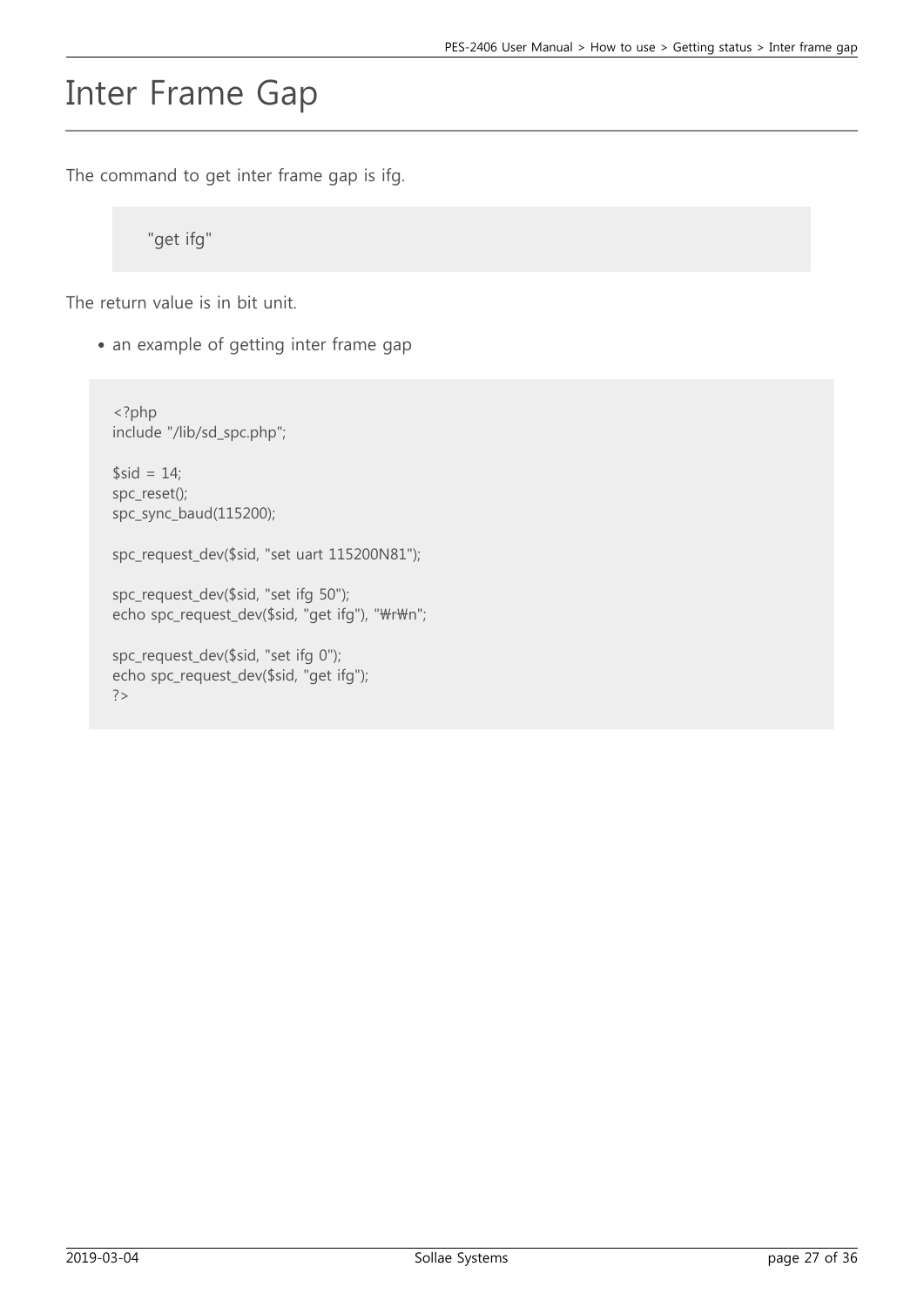### Inter Frame Gap

The command to get inter frame gap is ifg.

"get ifg"

The return value is in bit unit.

• an example of getting inter frame gap

```
<?php
include "/lib/sd_spc.php";
$sid = 14;spc_reset();
spc_sync_baud(115200);
spc_request_dev($sid, "set uart 115200N81");
spc_request_dev($sid, "set ifg 50");
echo spc_request_dev($sid, "get ifg"), "\r\n";
spc_request_dev($sid, "set ifg 0");
```
echo spc\_request\_dev(\$sid, "get ifg");

 $?$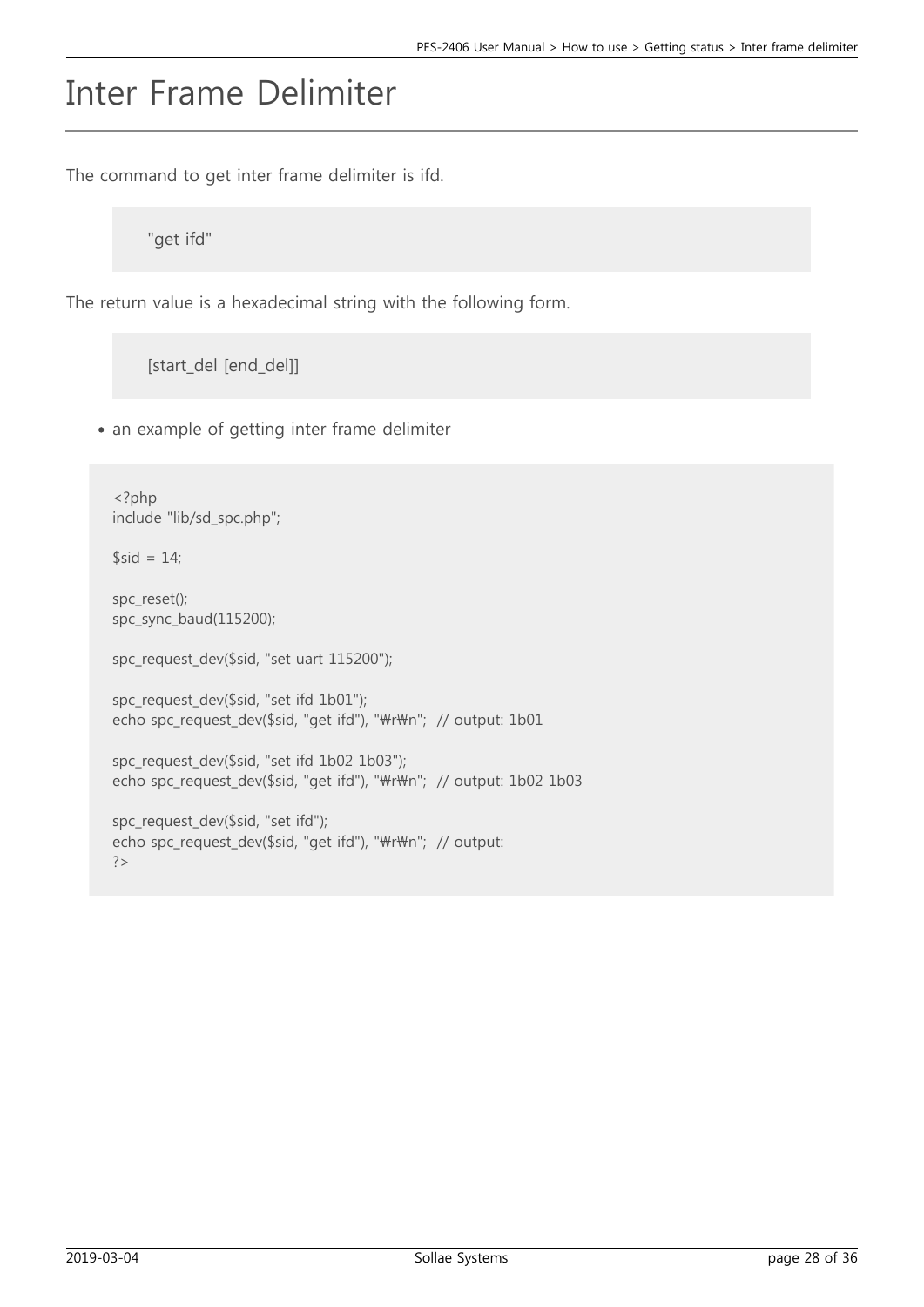## Inter Frame Delimiter

The command to get inter frame delimiter is ifd.

"get ifd"

The return value is a hexadecimal string with the following form.

[start\_del [end\_del]]

• an example of getting inter frame delimiter

```
<?php
include "lib/sd_spc.php";
$sid = 14;spc_reset();
spc_sync_baud(115200);
spc_request_dev($sid, "set uart 115200");
spc_request_dev($sid, "set ifd 1b01");
echo spc_request_dev($sid, "get ifd"), "\r\n"; // output: 1b01
spc_request_dev($sid, "set ifd 1b02 1b03");
echo spc_request_dev($sid, "get ifd"), "\r\n"; // output: 1b02 1b03
spc_request_dev($sid, "set ifd");
echo spc_request_dev($sid, "get ifd"), "\r\n"; // output:
?>
```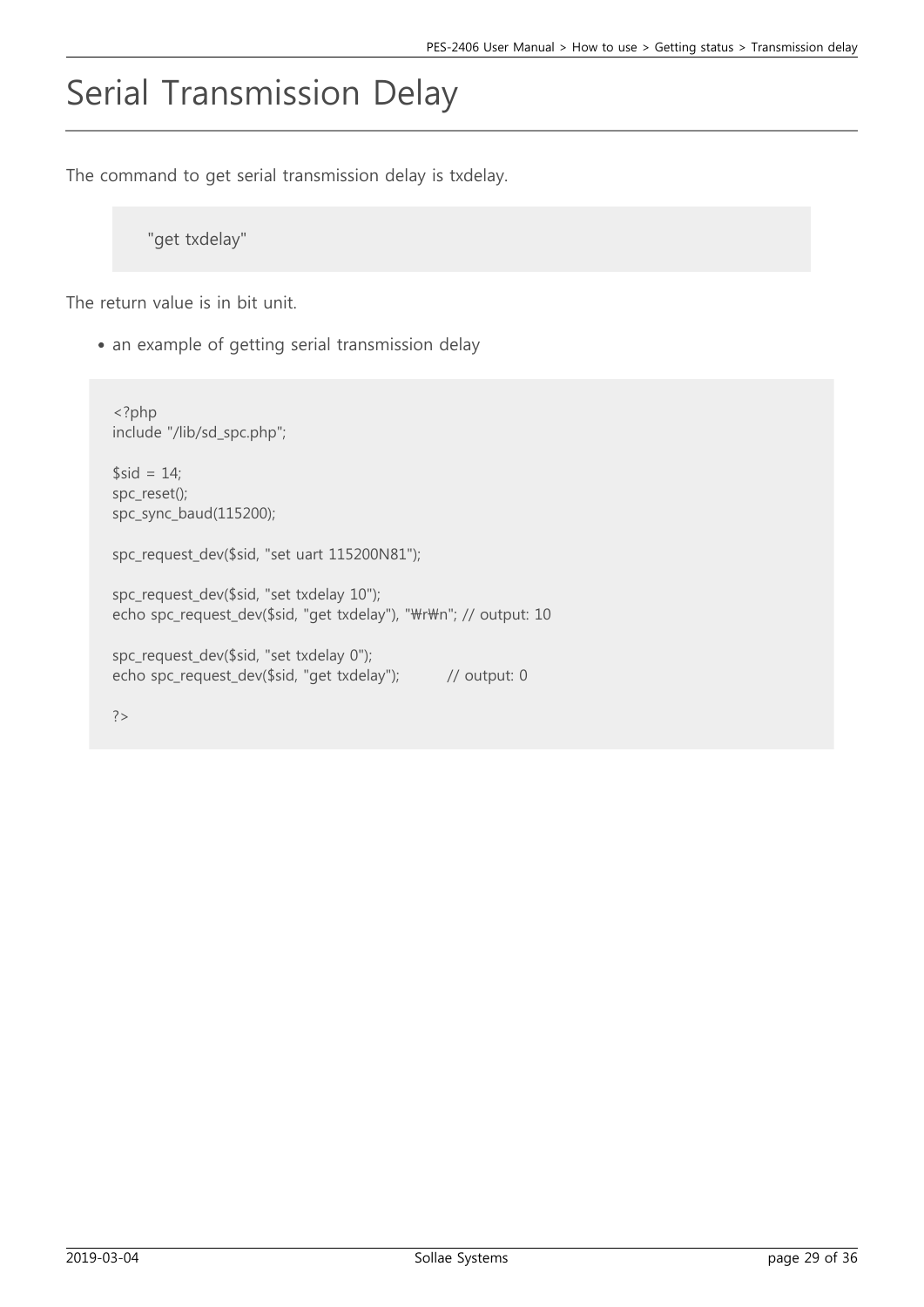## Serial Transmission Delay

The command to get serial transmission delay is txdelay.

"get txdelay"

The return value is in bit unit.

• an example of getting serial transmission delay

```
<?php
include "/lib/sd_spc.php";
$sid = 14;
spc_reset();
spc_sync_baud(115200);
spc_request_dev($sid, "set uart 115200N81");
spc_request_dev($sid, "set txdelay 10");
echo spc_request_dev($sid, "get txdelay"), "\r\m"; // output: 10
spc_request_dev($sid, "set txdelay 0");
echo spc_request_dev($sid, "get txdelay"); // output: 0
```
?>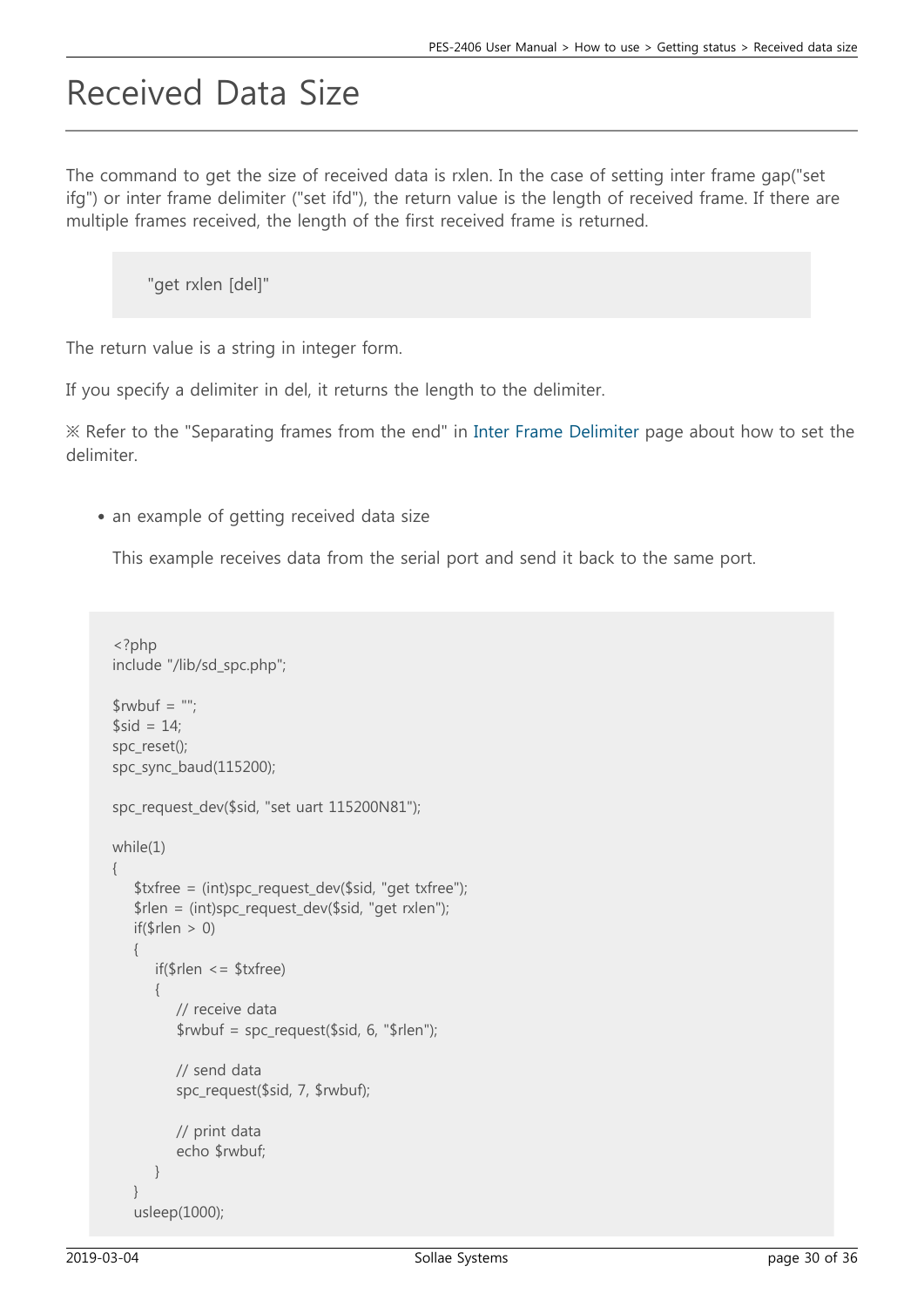### Received Data Size

The command to get the size of received data is rxlen. In the case of setting inter frame gap("set ifg") or inter frame delimiter ("set ifd"), the return value is the length of received frame. If there are multiple frames received, the length of the first received frame is returned.

```
"get rxlen [del]"
```
The return value is a string in integer form.

If you specify a delimiter in del, it returns the length to the delimiter.

※ Refer to the "Separating frames from the end" in [Inter Frame Delimiter](https://ns3.phpoc.com/support/manual/pes-2406_user_manual/contents.php?id=use_set_ifd) page about how to set the delimiter.

• an example of getting received data size

This example receives data from the serial port and send it back to the same port.

```
<?php
include "/lib/sd_spc.php";
$rwbuf = ";
$sid = 14;spc_reset();
spc_sync_baud(115200);
spc_request_dev($sid, "set uart 115200N81");
while(1)
{
    $txfree = (int)spc_request_dev($sid, "get txfree");
    $rlen = (int)spc_request_dev($sid, "get rxlen");
   if(\$rlen > 0)
    {
       if($rlen <= $txfree)
       {
          // receive data
         $rwbuf = spc request($sid, 6, "$rlen"); // send data
          spc_request($sid, 7, $rwbuf);
          // print data
          echo $rwbuf;
       }
 }
    usleep(1000);
```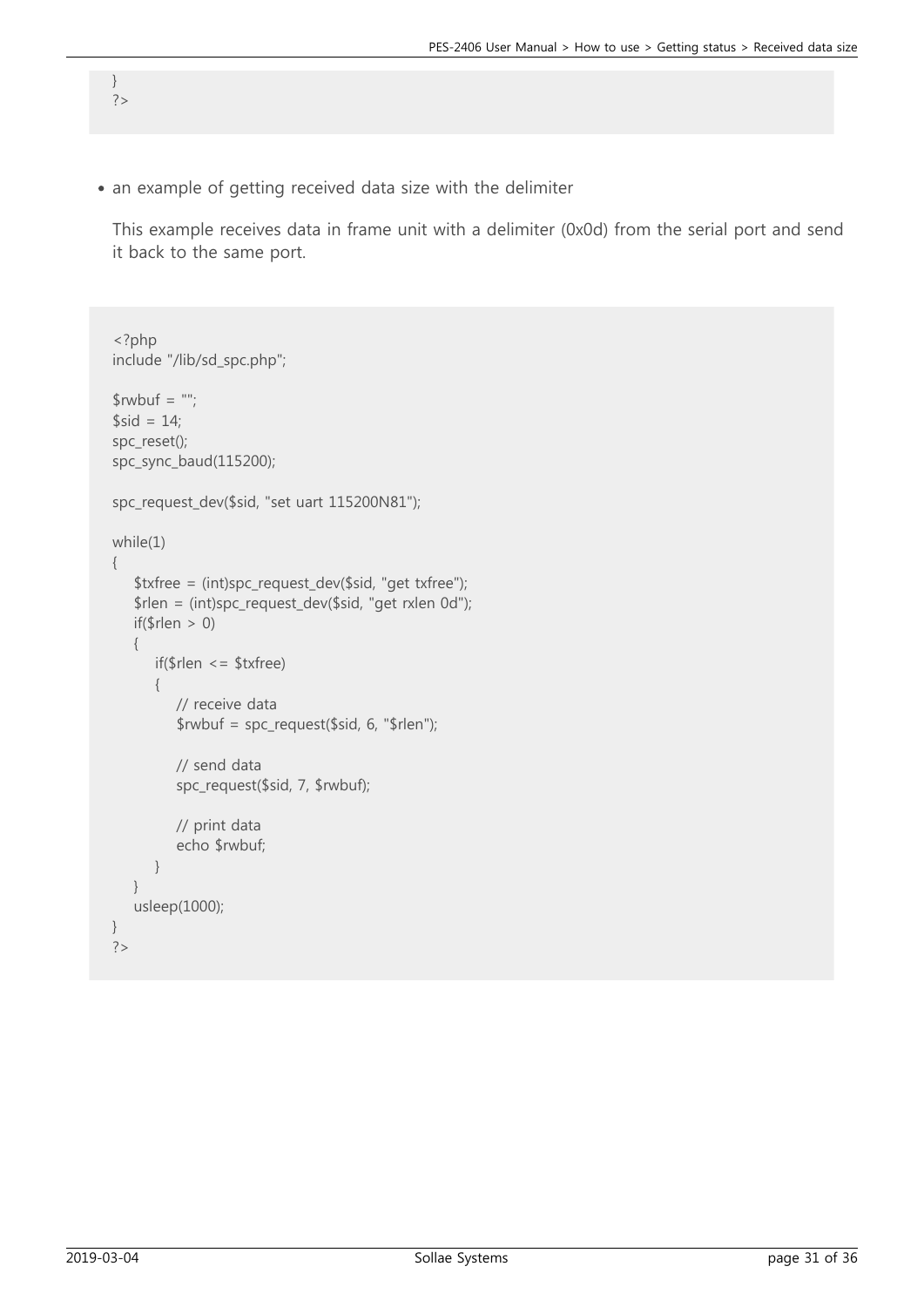an example of getting received data size with the delimiter

} ?>

This example receives data in frame unit with a delimiter (0x0d) from the serial port and send it back to the same port.

```
<?php
include "/lib/sd_spc.php";
$rwbuf = ";
$sid = 14;spc_reset();
spc_sync_baud(115200);
spc_request_dev($sid, "set uart 115200N81");
while(1)
{
    $txfree = (int)spc_request_dev($sid, "get txfree");
    $rlen = (int)spc_request_dev($sid, "get rxlen 0d");
   if(\text{$rlen} > 0) {
       if($rlen <= $txfree)
       {
           // receive data
         $rwbuf = spc_request($sid, 6, "$rlen"); // send data
           spc_request($sid, 7, $rwbuf);
          // print data
          echo $rwbuf;
       }
    }
    usleep(1000);
}
?>
```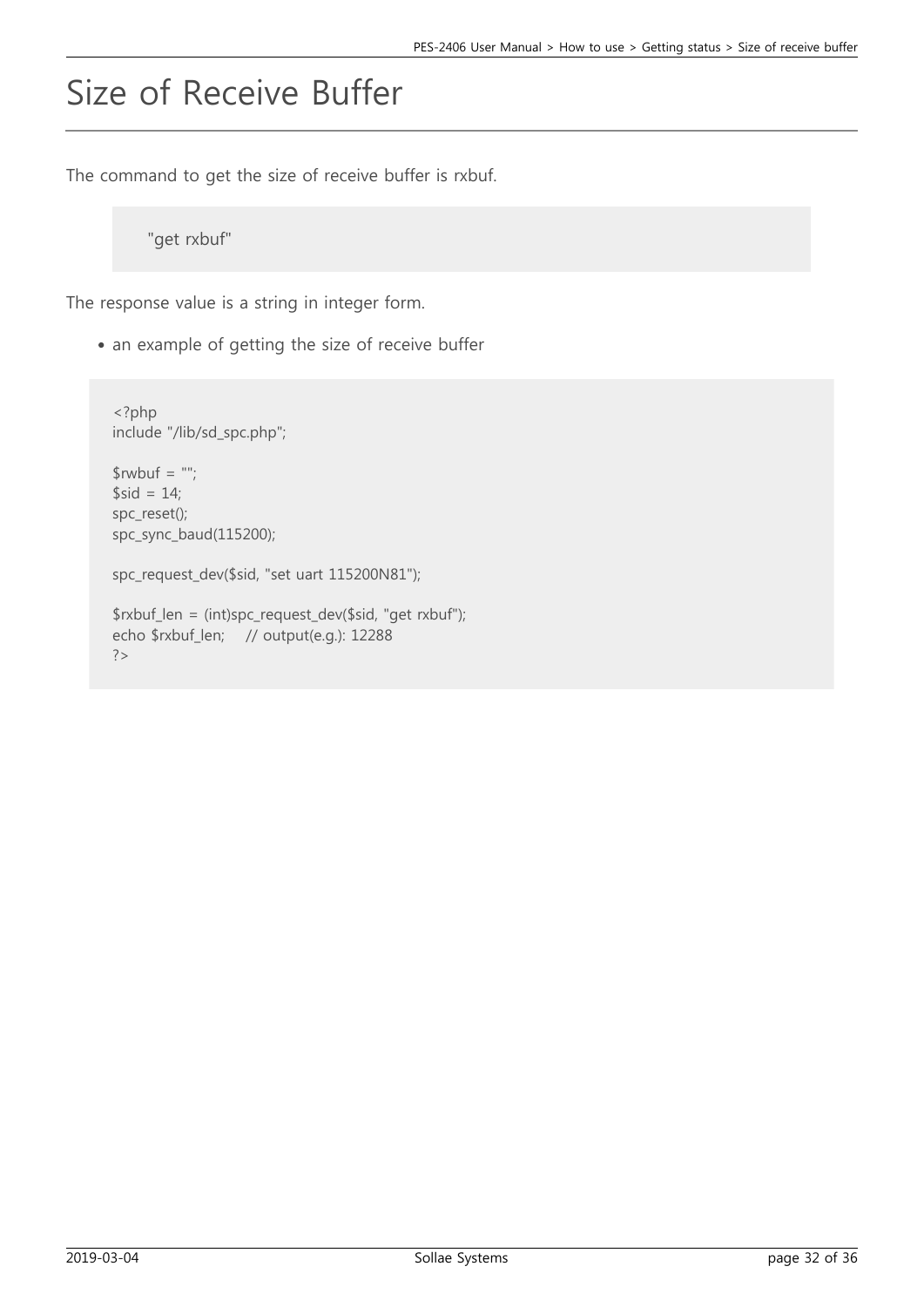# Size of Receive Buffer

The command to get the size of receive buffer is rxbuf.

"get rxbuf"

The response value is a string in integer form.

• an example of getting the size of receive buffer

```
<?php
include "/lib/sd_spc.php";
$rwbuf = "";$sid = 14;spc_reset();
spc_sync_baud(115200);
spc_request_dev($sid, "set uart 115200N81");
$rxbuf_len = (int)spc_request_dev($sid, "get rxbuf");
echo $rxbuf_len; // output(e.g.): 12288
?>
```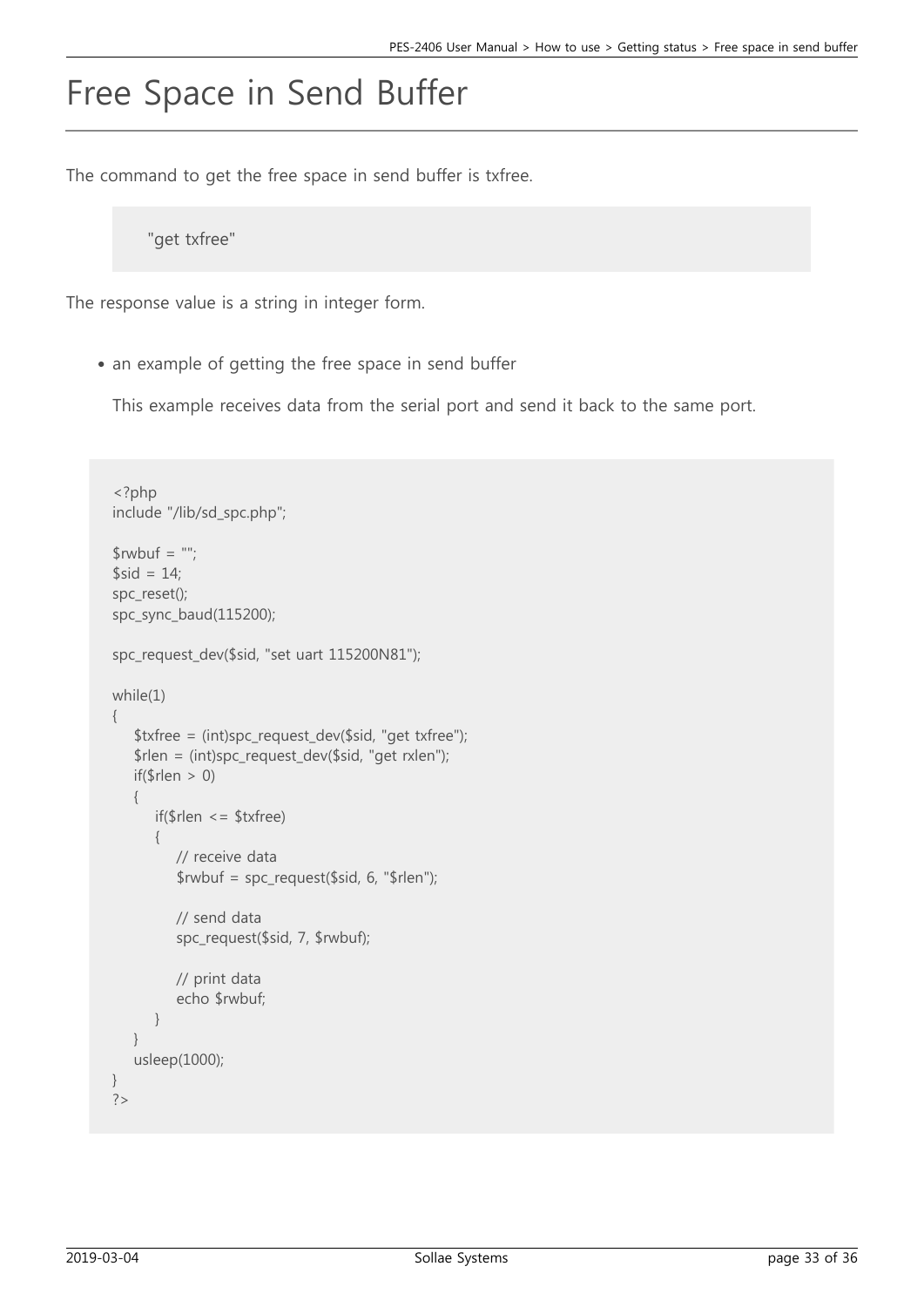## Free Space in Send Buffer

The command to get the free space in send buffer is txfree.

"get txfree"

The response value is a string in integer form.

• an example of getting the free space in send buffer

This example receives data from the serial port and send it back to the same port.

```
<?php
include "/lib/sd_spc.php";
$rwbuf = ";
$sid = 14;spc_reset();
spc_sync_baud(115200);
spc_request_dev($sid, "set uart 115200N81");
while(1)
{
    $txfree = (int)spc_request_dev($sid, "get txfree");
    $rlen = (int)spc_request_dev($sid, "get rxlen");
   if(\$rlen > 0)
\{ if($rlen <= $txfree)
       {
          // receive data
         $rwbuf = spec request($sid, 6, "$rlen"); // send data
          spc_request($sid, 7, $rwbuf);
          // print data
          echo $rwbuf;
       }
    }
    usleep(1000);
}
?>
```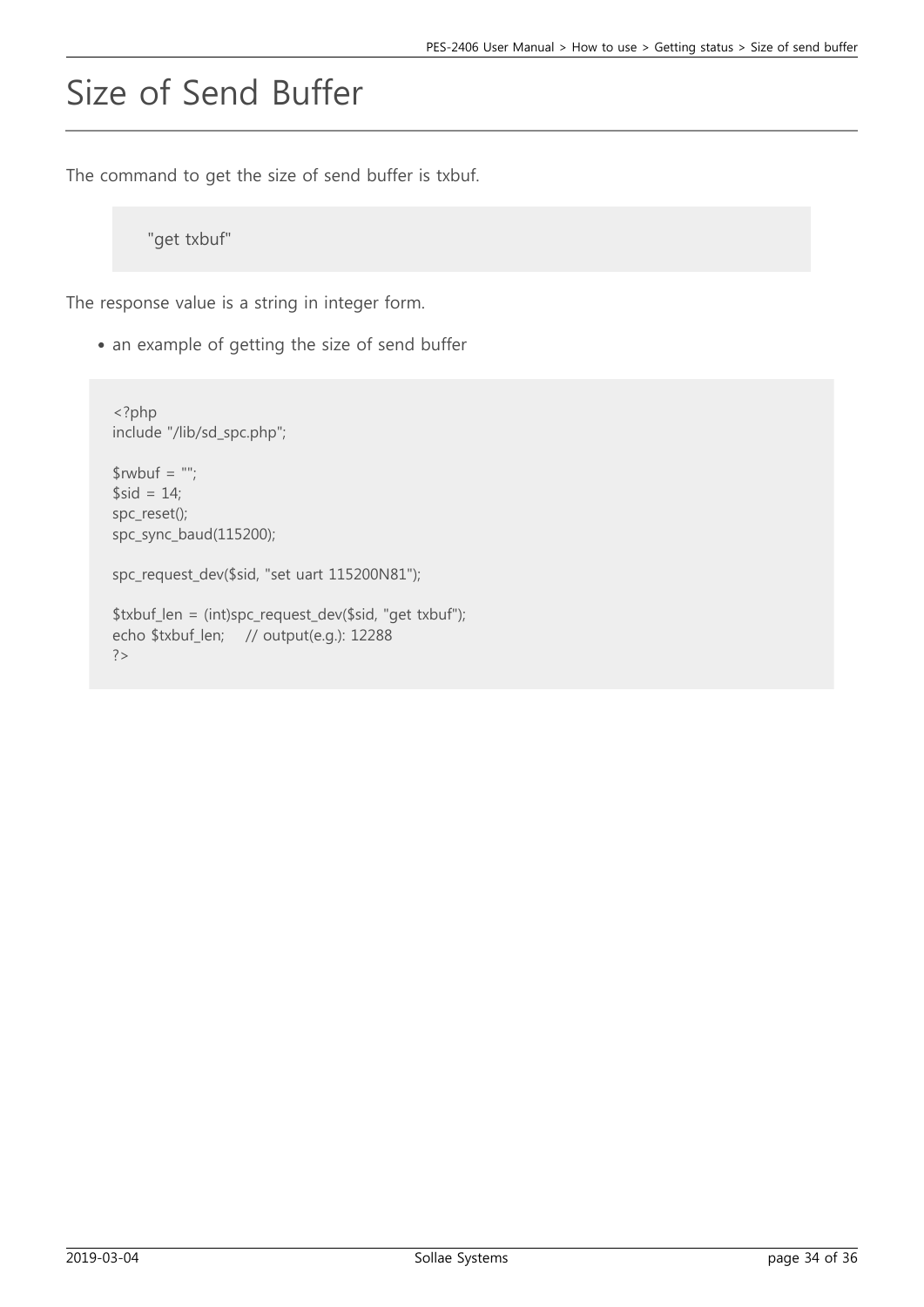# Size of Send Buffer

The command to get the size of send buffer is txbuf.

"get txbuf"

The response value is a string in integer form.

• an example of getting the size of send buffer

```
<?php
include "/lib/sd_spc.php";
$rwbuf = "";$sid = 14;spc_reset();
spc_sync_baud(115200);
spc_request_dev($sid, "set uart 115200N81");
$txbuf_len = (int)spc_request_dev($sid, "get txbuf");
echo $txbuf_len; // output(e.g.): 12288
?>
```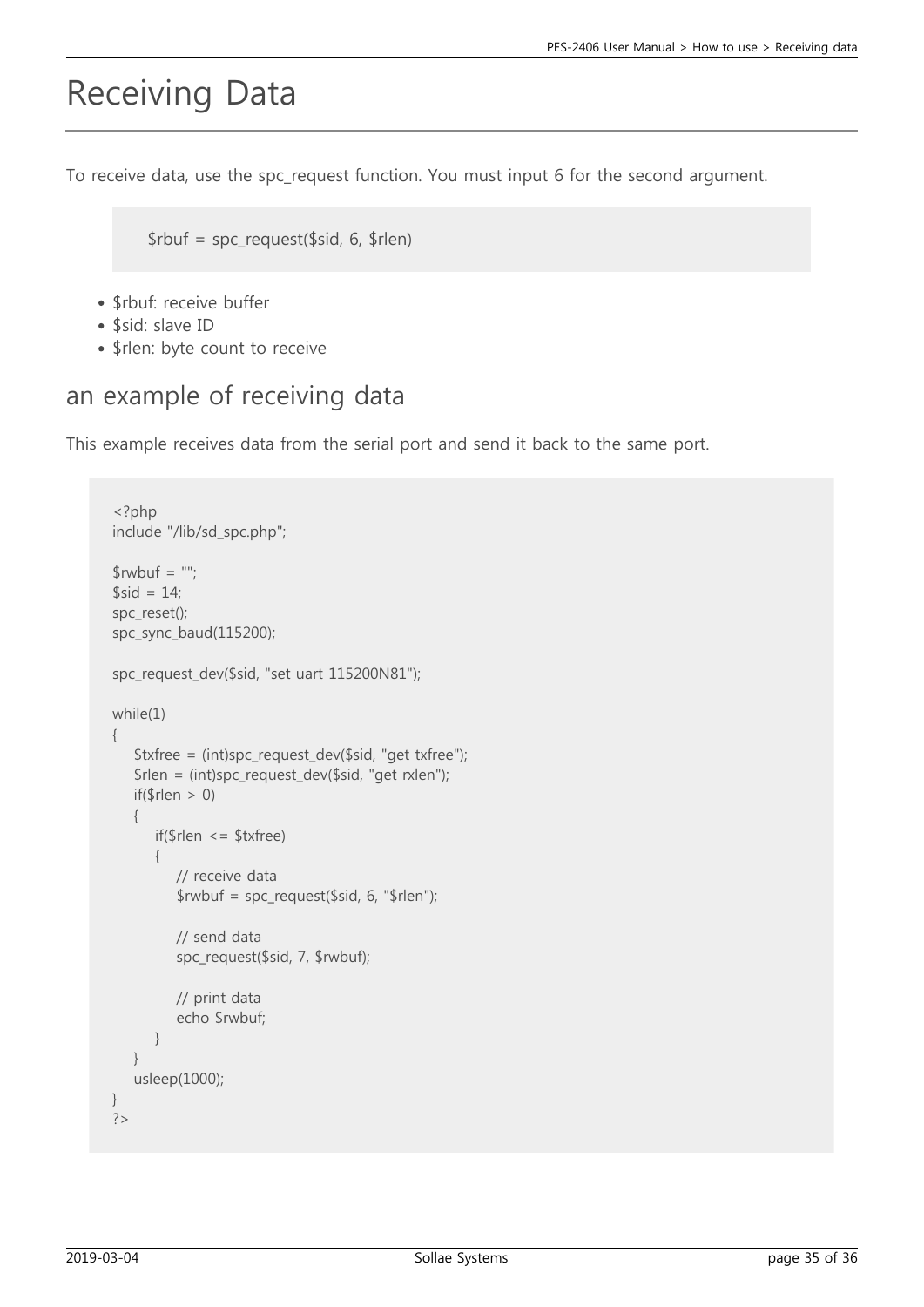## Receiving Data

To receive data, use the spc\_request function. You must input 6 for the second argument.

\$rbuf = spc\_request(\$sid, 6, \$rlen)

- \$rbuf: receive buffer
- \$sid: slave ID
- \$rlen: byte count to receive

### an example of receiving data

This example receives data from the serial port and send it back to the same port.

```
<?php
include "/lib/sd_spc.php";
$rwbuf = "";$sid = 14:
spc_reset();
spc_sync_baud(115200);
spc_request_dev($sid, "set uart 115200N81");
while(1)
{
    $txfree = (int)spc_request_dev($sid, "get txfree");
    $rlen = (int)spc_request_dev($sid, "get rxlen");
   if(\$rlen > 0)
    {
       if($rlen <= $txfree)
       {
          // receive data
          $rwbuf = spc_request($sid, 6, "$rlen"); // send data
           spc_request($sid, 7, $rwbuf);
          // print data
           echo $rwbuf;
       }
    }
    usleep(1000);
}
?>
```